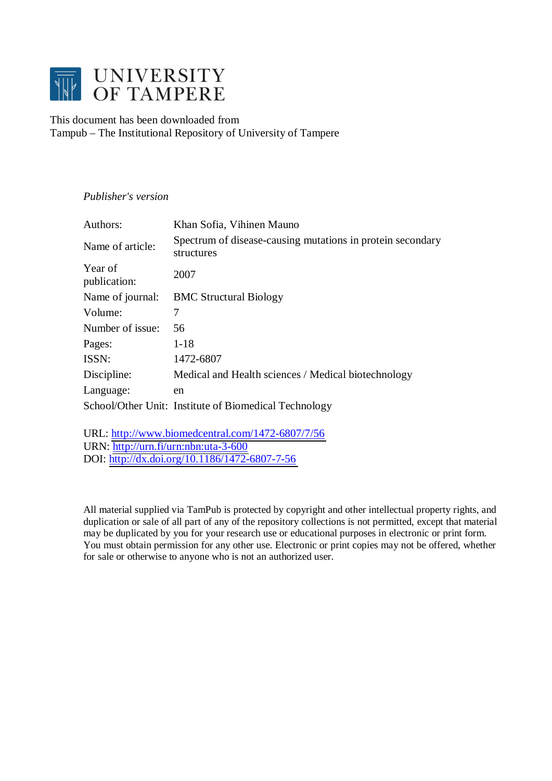

# This document has been downloaded from Tampub – The Institutional Repository of University of Tampere

# *Publisher's version*

| Khan Sofia, Vihinen Mauno                                                |
|--------------------------------------------------------------------------|
| Spectrum of disease-causing mutations in protein secondary<br>structures |
| 2007                                                                     |
| <b>BMC Structural Biology</b>                                            |
| 7                                                                        |
| 56                                                                       |
| $1 - 18$                                                                 |
| 1472-6807                                                                |
| Medical and Health sciences / Medical biotechnology                      |
| en                                                                       |
| School/Other Unit: Institute of Biomedical Technology                    |
|                                                                          |

URL: <http://www.biomedcentral.com/1472-6807/7/56> URN: <http://urn.fi/urn:nbn:uta-3-600> DOI: <http://dx.doi.org/10.1186/1472-6807-7-56>

All material supplied via TamPub is protected by copyright and other intellectual property rights, and duplication or sale of all part of any of the repository collections is not permitted, except that material may be duplicated by you for your research use or educational purposes in electronic or print form. You must obtain permission for any other use. Electronic or print copies may not be offered, whether for sale or otherwise to anyone who is not an authorized user.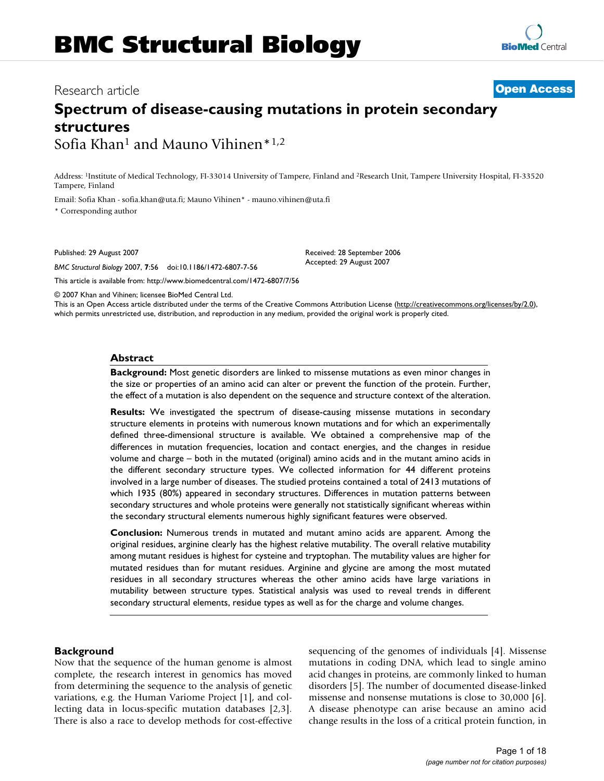# Research article **[Open Access](http://www.biomedcentral.com/info/about/charter/)**

# **[BioMed](http://www.biomedcentral.com/)** Central

# **Spectrum of disease-causing mutations in protein secondary structures** Sofia Khan<sup>1</sup> and Mauno Vihinen<sup>\*1,2</sup>

Address: 1Institute of Medical Technology, FI-33014 University of Tampere, Finland and 2Research Unit, Tampere University Hospital, FI-33520 Tampere, Finland

> Received: 28 September 2006 Accepted: 29 August 2007

Email: Sofia Khan - sofia.khan@uta.fi; Mauno Vihinen\* - mauno.vihinen@uta.fi \* Corresponding author

Published: 29 August 2007

*BMC Structural Biology* 2007, **7**:56 doi:10.1186/1472-6807-7-56

[This article is available from: http://www.biomedcentral.com/1472-6807/7/56](http://www.biomedcentral.com/1472-6807/7/56)

© 2007 Khan and Vihinen; licensee BioMed Central Ltd.

This is an Open Access article distributed under the terms of the Creative Commons Attribution License [\(http://creativecommons.org/licenses/by/2.0\)](http://creativecommons.org/licenses/by/2.0), which permits unrestricted use, distribution, and reproduction in any medium, provided the original work is properly cited.

#### **Abstract**

**Background:** Most genetic disorders are linked to missense mutations as even minor changes in the size or properties of an amino acid can alter or prevent the function of the protein. Further, the effect of a mutation is also dependent on the sequence and structure context of the alteration.

**Results:** We investigated the spectrum of disease-causing missense mutations in secondary structure elements in proteins with numerous known mutations and for which an experimentally defined three-dimensional structure is available. We obtained a comprehensive map of the differences in mutation frequencies, location and contact energies, and the changes in residue volume and charge – both in the mutated (original) amino acids and in the mutant amino acids in the different secondary structure types. We collected information for 44 different proteins involved in a large number of diseases. The studied proteins contained a total of 2413 mutations of which 1935 (80%) appeared in secondary structures. Differences in mutation patterns between secondary structures and whole proteins were generally not statistically significant whereas within the secondary structural elements numerous highly significant features were observed.

**Conclusion:** Numerous trends in mutated and mutant amino acids are apparent. Among the original residues, arginine clearly has the highest relative mutability. The overall relative mutability among mutant residues is highest for cysteine and tryptophan. The mutability values are higher for mutated residues than for mutant residues. Arginine and glycine are among the most mutated residues in all secondary structures whereas the other amino acids have large variations in mutability between structure types. Statistical analysis was used to reveal trends in different secondary structural elements, residue types as well as for the charge and volume changes.

#### **Background**

Now that the sequence of the human genome is almost complete, the research interest in genomics has moved from determining the sequence to the analysis of genetic variations, e.g. the Human Variome Project [1], and collecting data in locus-specific mutation databases [2,3]. There is also a race to develop methods for cost-effective sequencing of the genomes of individuals [4]. Missense mutations in coding DNA, which lead to single amino acid changes in proteins, are commonly linked to human disorders [5]. The number of documented disease-linked missense and nonsense mutations is close to 30,000 [6]. A disease phenotype can arise because an amino acid change results in the loss of a critical protein function, in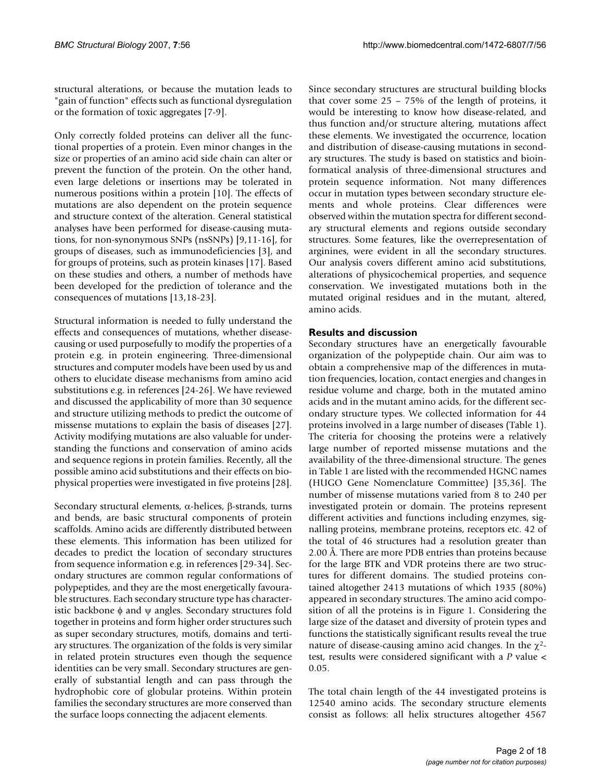structural alterations, or because the mutation leads to "gain of function" effects such as functional dysregulation or the formation of toxic aggregates [7-9].

Only correctly folded proteins can deliver all the functional properties of a protein. Even minor changes in the size or properties of an amino acid side chain can alter or prevent the function of the protein. On the other hand, even large deletions or insertions may be tolerated in numerous positions within a protein [10]. The effects of mutations are also dependent on the protein sequence and structure context of the alteration. General statistical analyses have been performed for disease-causing mutations, for non-synonymous SNPs (nsSNPs) [9,11-16], for groups of diseases, such as immunodeficiencies [3], and for groups of proteins, such as protein kinases [17]. Based on these studies and others, a number of methods have been developed for the prediction of tolerance and the consequences of mutations [13,18-23].

Structural information is needed to fully understand the effects and consequences of mutations, whether diseasecausing or used purposefully to modify the properties of a protein e.g. in protein engineering. Three-dimensional structures and computer models have been used by us and others to elucidate disease mechanisms from amino acid substitutions e.g. in references [24-26]. We have reviewed and discussed the applicability of more than 30 sequence and structure utilizing methods to predict the outcome of missense mutations to explain the basis of diseases [27]. Activity modifying mutations are also valuable for understanding the functions and conservation of amino acids and sequence regions in protein families. Recently, all the possible amino acid substitutions and their effects on biophysical properties were investigated in five proteins [28].

Secondary structural elements, α-helices, β-strands, turns and bends, are basic structural components of protein scaffolds. Amino acids are differently distributed between these elements. This information has been utilized for decades to predict the location of secondary structures from sequence information e.g. in references [29-34]. Secondary structures are common regular conformations of polypeptides, and they are the most energetically favourable structures. Each secondary structure type has characteristic backbone  $φ$  and  $ψ$  angles. Secondary structures fold together in proteins and form higher order structures such as super secondary structures, motifs, domains and tertiary structures. The organization of the folds is very similar in related protein structures even though the sequence identities can be very small. Secondary structures are generally of substantial length and can pass through the hydrophobic core of globular proteins. Within protein families the secondary structures are more conserved than the surface loops connecting the adjacent elements.

Since secondary structures are structural building blocks that cover some 25 – 75% of the length of proteins, it would be interesting to know how disease-related, and thus function and/or structure altering, mutations affect these elements. We investigated the occurrence, location and distribution of disease-causing mutations in secondary structures. The study is based on statistics and bioinformatical analysis of three-dimensional structures and protein sequence information. Not many differences occur in mutation types between secondary structure elements and whole proteins. Clear differences were observed within the mutation spectra for different secondary structural elements and regions outside secondary structures. Some features, like the overrepresentation of arginines, were evident in all the secondary structures. Our analysis covers different amino acid substitutions, alterations of physicochemical properties, and sequence conservation. We investigated mutations both in the mutated original residues and in the mutant, altered, amino acids.

### **Results and discussion**

Secondary structures have an energetically favourable organization of the polypeptide chain. Our aim was to obtain a comprehensive map of the differences in mutation frequencies, location, contact energies and changes in residue volume and charge, both in the mutated amino acids and in the mutant amino acids, for the different secondary structure types. We collected information for 44 proteins involved in a large number of diseases (Table 1). The criteria for choosing the proteins were a relatively large number of reported missense mutations and the availability of the three-dimensional structure. The genes in Table 1 are listed with the recommended HGNC names (HUGO Gene Nomenclature Committee) [35,36]. The number of missense mutations varied from 8 to 240 per investigated protein or domain. The proteins represent different activities and functions including enzymes, signalling proteins, membrane proteins, receptors etc. 42 of the total of 46 structures had a resolution greater than 2.00 Å. There are more PDB entries than proteins because for the large BTK and VDR proteins there are two structures for different domains. The studied proteins contained altogether 2413 mutations of which 1935 (80%) appeared in secondary structures. The amino acid composition of all the proteins is in Figure 1. Considering the large size of the dataset and diversity of protein types and functions the statistically significant results reveal the true nature of disease-causing amino acid changes. In the  $\chi^2$ test, results were considered significant with a *P* value < 0.05.

The total chain length of the 44 investigated proteins is 12540 amino acids. The secondary structure elements consist as follows: all helix structures altogether 4567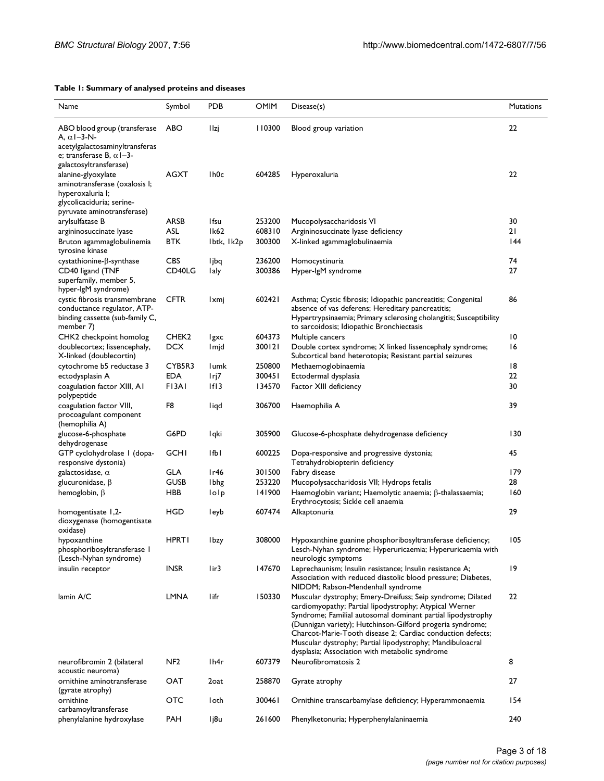#### **Table 1: Summary of analysed proteins and diseases**

| Name                                                                                                                                                                                            | Symbol            | <b>PDB</b>       | <b>OMIM</b> | Disease(s)                                                                                                                                                                                                                                                                                                                                                                                                                    | <b>Mutations</b> |
|-------------------------------------------------------------------------------------------------------------------------------------------------------------------------------------------------|-------------------|------------------|-------------|-------------------------------------------------------------------------------------------------------------------------------------------------------------------------------------------------------------------------------------------------------------------------------------------------------------------------------------------------------------------------------------------------------------------------------|------------------|
| ABO blood group (transferase<br>A, $\alpha$ I-3-N-<br>acetylgalactosaminyltransferas                                                                                                            | ABO               | l Izj            | 110300      | Blood group variation                                                                                                                                                                                                                                                                                                                                                                                                         | 22               |
| e; transferase B, $\alpha$ I-3-<br>galactosyltransferase)<br>alanine-glyoxylate<br>aminotransferase (oxalosis I;<br>hyperoxaluria I;<br>glycolicaciduria; serine-<br>pyruvate aminotransferase) | AGXT              | Ih <sub>0c</sub> | 604285      | Hyperoxaluria                                                                                                                                                                                                                                                                                                                                                                                                                 | 22               |
| arylsulfatase B                                                                                                                                                                                 | ARSB              | I fsu            | 253200      | Mucopolysaccharidosis VI                                                                                                                                                                                                                                                                                                                                                                                                      | 30               |
| argininosuccinate lyase                                                                                                                                                                         | ASL               | Ik <sub>62</sub> | 608310      | Argininosuccinate lyase deficiency                                                                                                                                                                                                                                                                                                                                                                                            | 21               |
| Bruton agammaglobulinemia<br>tyrosine kinase                                                                                                                                                    | <b>BTK</b>        | Ibtk, Ik2p       | 300300      | X-linked agammaglobulinaemia                                                                                                                                                                                                                                                                                                                                                                                                  | 44               |
| $cystathionine-\beta-synthase$                                                                                                                                                                  | <b>CBS</b>        | ljbq             | 236200      | Homocystinuria                                                                                                                                                                                                                                                                                                                                                                                                                | 74               |
| CD40 ligand (TNF<br>superfamily, member 5,<br>hyper-IgM syndrome)                                                                                                                               | CD40LG            | laly             | 300386      | Hyper-IgM syndrome                                                                                                                                                                                                                                                                                                                                                                                                            | 27               |
| cystic fibrosis transmembrane<br>conductance regulator, ATP-<br>binding cassette (sub-family C,<br>member 7)                                                                                    | <b>CFTR</b>       | Ixmj             | 602421      | Asthma; Cystic fibrosis; Idiopathic pancreatitis; Congenital<br>absence of vas deferens; Hereditary pancreatitis;<br>Hypertrypsinaemia; Primary sclerosing cholangitis; Susceptibility<br>to sarcoidosis; Idiopathic Bronchiectasis                                                                                                                                                                                           | 86               |
| CHK2 checkpoint homolog                                                                                                                                                                         | CHEK <sub>2</sub> | Igxc             | 604373      | Multiple cancers                                                                                                                                                                                                                                                                                                                                                                                                              | $\overline{10}$  |
| doublecortex; lissencephaly,<br>X-linked (doublecortin)                                                                                                                                         | DCX               | Imjd             | 300121      | Double cortex syndrome; X linked lissencephaly syndrome;<br>Subcortical band heterotopia; Resistant partial seizures                                                                                                                                                                                                                                                                                                          | 16               |
| cytochrome b5 reductase 3                                                                                                                                                                       | CYB5R3            | l umk            | 250800      | Methaemoglobinaemia                                                                                                                                                                                                                                                                                                                                                                                                           | 8                |
| ectodysplasin A                                                                                                                                                                                 | EDA               | Irj7             | 300451      | Ectodermal dysplasia                                                                                                                                                                                                                                                                                                                                                                                                          | 22               |
| coagulation factor XIII, AI<br>polypeptide                                                                                                                                                      | FI3AI             | IfI3             | 134570      | Factor XIII deficiency                                                                                                                                                                                                                                                                                                                                                                                                        | 30               |
| coagulation factor VIII,<br>procoagulant component<br>(hemophilia A)                                                                                                                            | F8                | ligd             | 306700      | Haemophilia A                                                                                                                                                                                                                                                                                                                                                                                                                 | 39               |
| glucose-6-phosphate<br>dehydrogenase                                                                                                                                                            | G6PD              | l qki            | 305900      | Glucose-6-phosphate dehydrogenase deficiency                                                                                                                                                                                                                                                                                                                                                                                  | 130              |
| GTP cyclohydrolase I (dopa-<br>responsive dystonia)                                                                                                                                             | <b>GCHI</b>       | lfbl             | 600225      | Dopa-responsive and progressive dystonia;<br>Tetrahydrobiopterin deficiency                                                                                                                                                                                                                                                                                                                                                   | 45               |
| galactosidase, $\alpha$                                                                                                                                                                         | GLA               | Ir46             | 301500      | Fabry disease                                                                                                                                                                                                                                                                                                                                                                                                                 | 179              |
| glucuronidase, $\beta$                                                                                                                                                                          | GUSB              | <b>Ibhg</b>      | 253220      | Mucopolysaccharidosis VII; Hydrops fetalis                                                                                                                                                                                                                                                                                                                                                                                    | 28               |
| hemoglobin, $\beta$                                                                                                                                                                             | HBB               | lolp             | 141900      | Haemoglobin variant; Haemolytic anaemia; ß-thalassaemia;<br>Erythrocytosis; Sickle cell anaemia                                                                                                                                                                                                                                                                                                                               | 160              |
| homogentisate 1,2-<br>dioxygenase (homogentisate<br>oxidase)                                                                                                                                    | HGD               | leyb             | 607474      | Alkaptonuria                                                                                                                                                                                                                                                                                                                                                                                                                  | 29               |
| hypoxanthine<br>phosphoribosyltransferase I<br>(Lesch-Nyhan syndrome)                                                                                                                           | <b>HPRT1</b>      | Ibzy             | 308000      | Hypoxanthine guanine phosphoribosyltransferase deficiency;<br>Lesch-Nyhan syndrome; Hyperuricaemia; Hyperuricaemia with<br>neurologic symptoms                                                                                                                                                                                                                                                                                | 105              |
| insulin receptor                                                                                                                                                                                | <b>INSR</b>       | lir3             | 147670      | Leprechaunism; Insulin resistance; Insulin resistance A;<br>Association with reduced diastolic blood pressure; Diabetes,<br>NIDDM; Rabson-Mendenhall syndrome                                                                                                                                                                                                                                                                 | 9                |
| lamin A/C                                                                                                                                                                                       | <b>LMNA</b>       | l ifr            | 150330      | Muscular dystrophy; Emery-Dreifuss; Seip syndrome; Dilated<br>cardiomyopathy; Partial lipodystrophy; Atypical Werner<br>Syndrome; Familial autosomal dominant partial lipodystrophy<br>(Dunnigan variety); Hutchinson-Gilford progeria syndrome;<br>Charcot-Marie-Tooth disease 2; Cardiac conduction defects;<br>Muscular dystrophy; Partial lipodystrophy; Mandibuloacral<br>dysplasia; Association with metabolic syndrome | 22               |
| neurofibromin 2 (bilateral<br>acoustic neuroma)                                                                                                                                                 | NF <sub>2</sub>   | Ih4r             | 607379      | Neurofibromatosis 2                                                                                                                                                                                                                                                                                                                                                                                                           | 8                |
| ornithine aminotransferase<br>(gyrate atrophy)                                                                                                                                                  | <b>OAT</b>        | 2oat             | 258870      | Gyrate atrophy                                                                                                                                                                                                                                                                                                                                                                                                                | 27               |
| ornithine<br>carbamoyltransferase                                                                                                                                                               | <b>OTC</b>        | <b>l</b> oth     | 300461      | Ornithine transcarbamylase deficiency; Hyperammonaemia                                                                                                                                                                                                                                                                                                                                                                        | 154              |
| phenylalanine hydroxylase                                                                                                                                                                       | PAH               | lj8u             | 261600      | Phenylketonuria; Hyperphenylalaninaemia                                                                                                                                                                                                                                                                                                                                                                                       | 240              |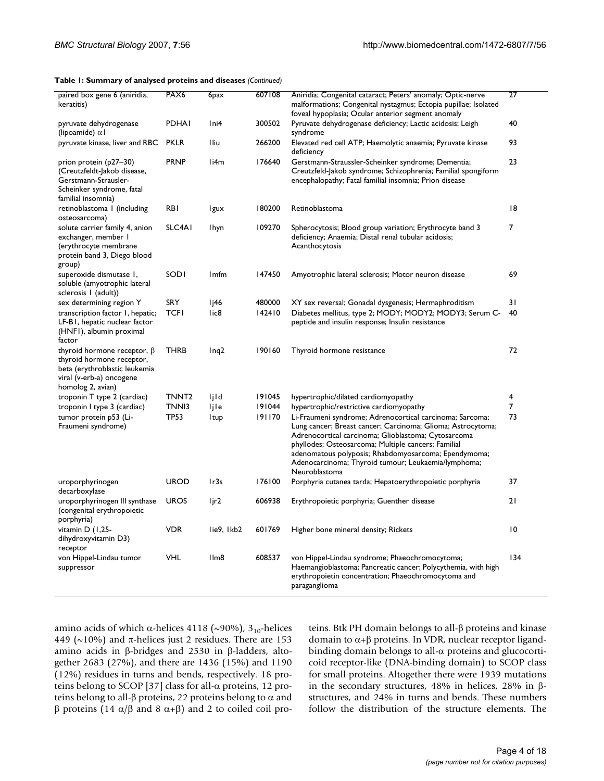#### **Table 1: Summary of analysed proteins and diseases** *(Continued)*

| paired box gene 6 (aniridia,<br>keratitis)                                                                                                       | PAX <sub>6</sub>  | 6pax              | 607108 | Aniridia; Congenital cataract; Peters' anomaly; Optic-nerve<br>malformations; Congenital nystagmus; Ectopia pupillae; Isolated<br>foveal hypoplasia; Ocular anterior segment anomaly                                                                                                                                                                                  | $\overline{27}$ |
|--------------------------------------------------------------------------------------------------------------------------------------------------|-------------------|-------------------|--------|-----------------------------------------------------------------------------------------------------------------------------------------------------------------------------------------------------------------------------------------------------------------------------------------------------------------------------------------------------------------------|-----------------|
| pyruvate dehydrogenase<br>(lipoamide) $\alpha$ l                                                                                                 | <b>PDHAI</b>      | Ini4              | 300502 | Pyruvate dehydrogenase deficiency; Lactic acidosis; Leigh<br>syndrome                                                                                                                                                                                                                                                                                                 | 40              |
| pyruvate kinase, liver and RBC PKLR                                                                                                              |                   | Iliu              | 266200 | Elevated red cell ATP; Haemolytic anaemia; Pyruvate kinase<br>deficiency                                                                                                                                                                                                                                                                                              | 93              |
| prion protein (p27-30)<br>(Creutzfeldt-Jakob disease,<br>Gerstmann-Strausler-<br>Scheinker syndrome, fatal<br>familial insomnia)                 | <b>PRNP</b>       | li4m              | 176640 | Gerstmann-Straussler-Scheinker syndrome; Dementia;<br>Creutzfeld-lakob syndrome; Schizophrenia; Familial spongiform<br>encephalopathy; Fatal familial insomnia; Prion disease                                                                                                                                                                                         | 23              |
| retinoblastoma I (including<br>osteosarcoma)                                                                                                     | RBI               | l gux             | 180200 | Retinoblastoma                                                                                                                                                                                                                                                                                                                                                        | 18              |
| solute carrier family 4, anion<br>exchanger, member I<br>(erythrocyte membrane<br>protein band 3, Diego blood<br>group)                          | SLC4A1            | <b>I</b> hyn      | 109270 | Spherocytosis; Blood group variation; Erythrocyte band 3<br>deficiency; Anaemia; Distal renal tubular acidosis;<br>Acanthocytosis                                                                                                                                                                                                                                     | 7               |
| superoxide dismutase 1,<br>soluble (amyotrophic lateral<br>sclerosis I (adult))                                                                  | <b>SODI</b>       | <b>Imfm</b>       | 147450 | Amyotrophic lateral sclerosis; Motor neuron disease                                                                                                                                                                                                                                                                                                                   | 69              |
| sex determining region Y                                                                                                                         | <b>SRY</b>        | l j46             | 480000 | XY sex reversal; Gonadal dysgenesis; Hermaphroditism                                                                                                                                                                                                                                                                                                                  | 31              |
| transcription factor 1, hepatic;<br>LF-BI, hepatic nuclear factor<br>(HNFI), albumin proximal<br>factor                                          | TCFI              | lic8              | 142410 | Diabetes mellitus, type 2; MODY; MODY2; MODY3; Serum C-<br>peptide and insulin response; Insulin resistance                                                                                                                                                                                                                                                           | 40              |
| thyroid hormone receptor, $\beta$<br>thyroid hormone receptor,<br>beta (erythroblastic leukemia<br>viral (v-erb-a) oncogene<br>homolog 2, avian) | THRB              | Inq2              | 190160 | Thyroid hormone resistance                                                                                                                                                                                                                                                                                                                                            | 72              |
| troponin T type 2 (cardiac)                                                                                                                      | TNNT <sub>2</sub> | ljId              | 191045 | hypertrophic/dilated cardiomyopathy                                                                                                                                                                                                                                                                                                                                   | 4               |
| troponin I type 3 (cardiac)                                                                                                                      | TNN <sub>13</sub> | ljle              | 191044 | hypertrophic/restrictive cardiomyopathy                                                                                                                                                                                                                                                                                                                               | $\overline{7}$  |
| tumor protein p53 (Li-<br>Fraumeni syndrome)                                                                                                     | TP53              | <b>I</b> tup      | 191170 | Li-Fraumeni syndrome; Adrenocortical carcinoma; Sarcoma;<br>Lung cancer; Breast cancer; Carcinoma; Glioma; Astrocytoma;<br>Adrenocortical carcinoma; Glioblastoma; Cytosarcoma<br>phyllodes; Osteosarcoma; Multiple cancers; Familial<br>adenomatous polyposis; Rhabdomyosarcoma; Ependymoma;<br>Adenocarcinoma; Thyroid tumour; Leukaemia/lymphoma;<br>Neuroblastoma | 73              |
| uroporphyrinogen<br>decarboxylase                                                                                                                | <b>UROD</b>       | Ir3s              | 176100 | Porphyria cutanea tarda; Hepatoerythropoietic porphyria                                                                                                                                                                                                                                                                                                               | 37              |
| uroporphyrinogen III synthase<br>(congenital erythropoietic<br>porphyria)                                                                        | <b>UROS</b>       | ljr2              | 606938 | Erythropoietic porphyria; Guenther disease                                                                                                                                                                                                                                                                                                                            | 21              |
| vitamin $D(1,25-$<br>dihydroxyvitamin D3)<br>receptor                                                                                            | VDR               | lie9, Ikb2        | 601769 | Higher bone mineral density; Rickets                                                                                                                                                                                                                                                                                                                                  | 10              |
| von Hippel-Lindau tumor<br>suppressor                                                                                                            | <b>VHL</b>        | 1 <sub>Im</sub> 8 | 608537 | von Hippel-Lindau syndrome; Phaeochromocytoma;<br>Haemangioblastoma; Pancreatic cancer; Polycythemia, with high<br>erythropoietin concentration; Phaeochromocytoma and<br>paraganglioma                                                                                                                                                                               | 134             |

amino acids of which α-helices 4118 (~90%), 3<sub>10</sub>-helices 449 ( $\sim$ 10%) and  $\pi$ -helices just 2 residues. There are 153 amino acids in β-bridges and 2530 in β-ladders, altogether 2683 (27%), and there are 1436 (15%) and 1190 (12%) residues in turns and bends, respectively. 18 proteins belong to SCOP [37] class for all-α proteins, 12 proteins belong to all-β proteins, 22 proteins belong to  $α$  and β proteins (14 α/β and 8 α+β) and 2 to coiled coil pro-

teins. Btk PH domain belongs to all-β proteins and kinase domain to α+β proteins. In VDR, nuclear receptor ligandbinding domain belongs to all-α proteins and glucocorticoid receptor-like (DNA-binding domain) to SCOP class for small proteins. Altogether there were 1939 mutations in the secondary structures, 48% in helices, 28% in βstructures, and 24% in turns and bends. These numbers follow the distribution of the structure elements. The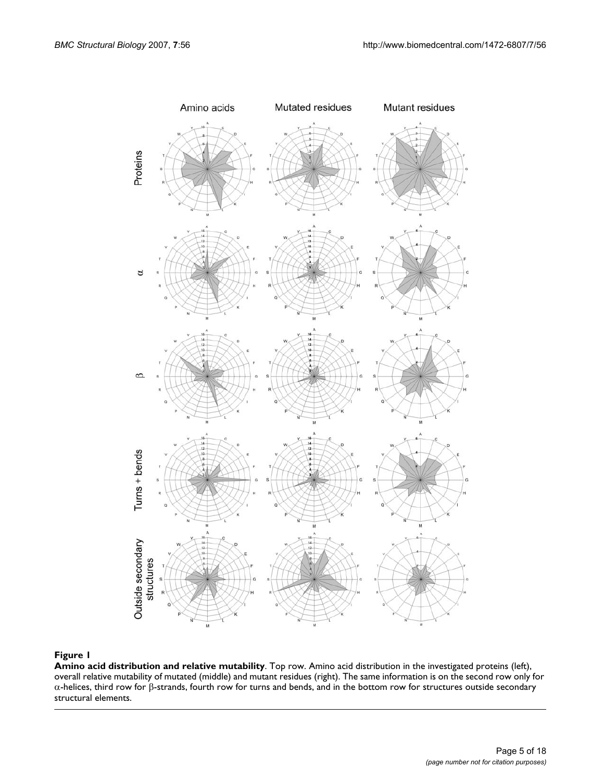

#### Figure 1

**Amino acid distribution and relative mutability**. Top row. Amino acid distribution in the investigated proteins (left), overall relative mutability of mutated (middle) and mutant residues (right). The same information is on the second row only for α-helices, third row for β-strands, fourth row for turns and bends, and in the bottom row for structures outside secondary structural elements.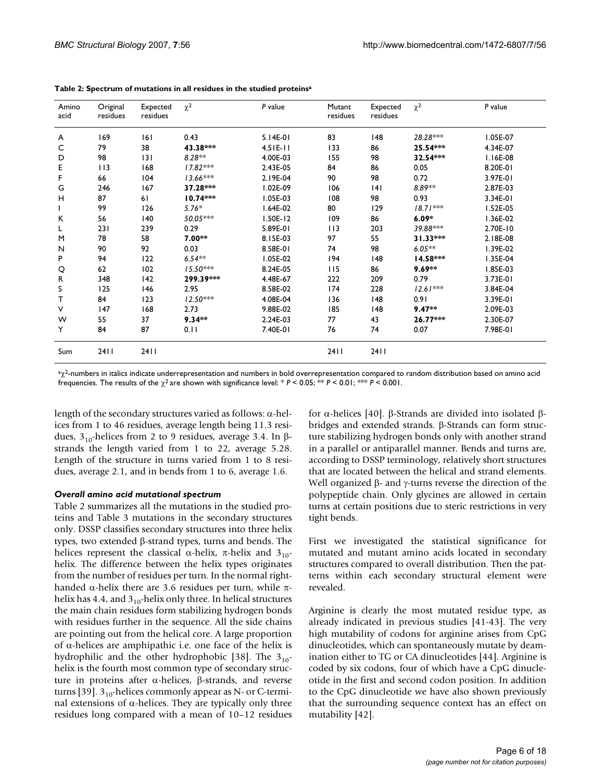| Amino<br>acid | Original<br>residues | Expected<br>residues | $\chi^2$   | P value    | Mutant<br>residues | Expected<br>residues | $\chi^2$   | P value    |
|---------------|----------------------|----------------------|------------|------------|--------------------|----------------------|------------|------------|
| A             | 169                  | 6                    | 0.43       | 5.14E-01   | 83                 | 148                  | 28.28***   | I.05E-07   |
| C             | 79                   | 38                   | 43.38***   | $4.51E-11$ | 133                | 86                   | 25.54***   | 4.34E-07   |
| D             | 98                   | 131                  | $8.28**$   | 4.00E-03   | 155                | 98                   | 32.54***   | I.16E-08   |
| E             | 113                  | 168                  | $17.82***$ | 2.43E-05   | 84                 | 86                   | 0.05       | 8.20E-01   |
| F             | 66                   | 104                  | $13.66***$ | 2.19E-04   | 90                 | 98                   | 0.72       | 3.97E-01   |
| G             | 246                  | 167                  | 37.28***   | I.02E-09   | 106                | 4                    | $8.89**$   | 2.87E-03   |
| н             | 87                   | 61                   | $10.74***$ | I.05E-03   | 108                | 98                   | 0.93       | 3.34E-01   |
| L             | 99                   | 126                  | $5.76*$    | $1.64E-02$ | 80                 | 129                  | $18.71***$ | $1.52E-05$ |
| К             | 56                   | 140                  | 50.05***   | $1.50E-12$ | 109                | 86                   | $6.09*$    | I.36E-02   |
| L             | 231                  | 239                  | 0.29       | 5.89E-01   | 113                | 203                  | 39.88***   | 2.70E-10   |
| M             | 78                   | 58                   | $7.00**$   | 8.15E-03   | 97                 | 55                   | $31.33***$ | 2.18E-08   |
| $\mathsf{N}$  | 90                   | 92                   | 0.03       | 8.58E-01   | 74                 | 98                   | $6.05***$  | I.39E-02   |
| P             | 94                   | 122                  | $6.54***$  | I.05E-02   | 194                | 148                  | 14.58***   | I.35E-04   |
| Q             | 62                   | 102                  | $15.50***$ | 8.24E-05   | 115                | 86                   | $9.69**$   | I.85E-03   |
| R             | 348                  | 142                  | 299.39***  | 4.48E-67   | 222                | 209                  | 0.79       | 3.73E-01   |
| S             | 125                  | 146                  | 2.95       | 8.58E-02   | 174                | 228                  | $12.61***$ | 3.84E-04   |
| Т             | 84                   | 123                  | $12.50***$ | 4.08E-04   | 136                | 148                  | 0.91       | 3.39E-01   |
| $\vee$        | 147                  | 168                  | 2.73       | 9.88E-02   | 185                | 148                  | $9.47**$   | 2.09E-03   |
| W             | 55                   | 37                   | $9.34**$   | 2.24E-03   | 77                 | 43                   | 26.77***   | 2.30E-07   |
| Y             | 84                   | 87                   | 0.11       | 7.40E-01   | 76                 | 74                   | 0.07       | 7.98E-01   |
| Sum           | 2411                 | 2411                 |            |            | 2411               | 2411                 |            |            |

**Table 2: Spectrum of mutations in all residues in the studied proteinsa**

 $a\chi^2$ -numbers in italics indicate underrepresentation and numbers in bold overrepresentation compared to random distribution based on amino acid frequencies. The results of the  $\chi^2$  are shown with significance level: \*  $P < 0.05$ ; \*\*  $P < 0.01$ ; \*\*  $P < 0.001$ .

length of the secondary structures varied as follows:  $\alpha$ -helices from 1 to 46 residues, average length being 11.3 residues, 3<sub>10</sub>-helices from 2 to 9 residues, average 3.4. In βstrands the length varied from 1 to 22, average 5.28. Length of the structure in turns varied from 1 to 8 residues, average 2.1, and in bends from 1 to 6, average 1.6.

#### *Overall amino acid mutational spectrum*

Table 2 summarizes all the mutations in the studied proteins and Table 3 mutations in the secondary structures only. DSSP classifies secondary structures into three helix types, two extended β-strand types, turns and bends. The helices represent the classical α-helix, π-helix and 3<sub>10</sub>helix. The difference between the helix types originates from the number of residues per turn. In the normal righthanded α-helix there are 3.6 residues per turn, while πhelix has 4.4, and  $3_{10}$ -helix only three. In helical structures the main chain residues form stabilizing hydrogen bonds with residues further in the sequence. All the side chains are pointing out from the helical core. A large proportion of α-helices are amphipathic i.e. one face of the helix is hydrophilic and the other hydrophobic [38]. The  $3_{10}$ helix is the fourth most common type of secondary structure in proteins after α-helices, β-strands, and reverse turns [39].  $3_{10}$ -helices commonly appear as N- or C-terminal extensions of α-helices. They are typically only three residues long compared with a mean of 10–12 residues

for α-helices [40]. β-Strands are divided into isolated βbridges and extended strands. β-Strands can form structure stabilizing hydrogen bonds only with another strand in a parallel or antiparallel manner. Bends and turns are, according to DSSP terminology, relatively short structures that are located between the helical and strand elements. Well organized β- and  $γ$ -turns reverse the direction of the polypeptide chain. Only glycines are allowed in certain turns at certain positions due to steric restrictions in very tight bends.

First we investigated the statistical significance for mutated and mutant amino acids located in secondary structures compared to overall distribution. Then the patterns within each secondary structural element were revealed.

Arginine is clearly the most mutated residue type, as already indicated in previous studies [41-43]. The very high mutability of codons for arginine arises from CpG dinucleotides, which can spontaneously mutate by deamination either to TG or CA dinucleotides [44]. Arginine is coded by six codons, four of which have a CpG dinucleotide in the first and second codon position. In addition to the CpG dinucleotide we have also shown previously that the surrounding sequence context has an effect on mutability [42].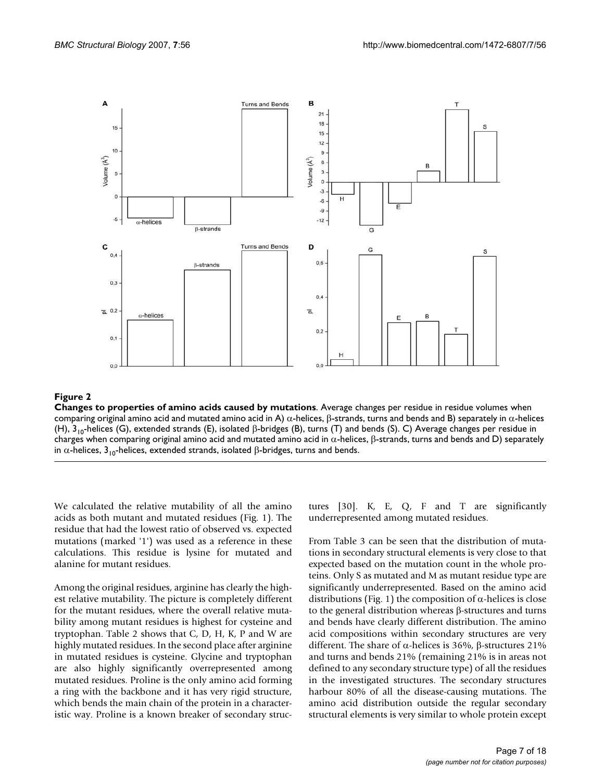

#### Figure 2

**Changes to properties of amino acids caused by mutations**. Average changes per residue in residue volumes when comparing original amino acid and mutated amino acid in A)  $\alpha$ -helices, β-strands, turns and bends and B) separately in  $\alpha$ -helices (H), 3<sub>10</sub>-helices (G), extended strands (E), isolated β-bridges (B), turns (T) and bends (S). C) Average changes per residue in charges when comparing original amino acid and mutated amino acid in  $α$ -helices,  $β$ -strands, turns and bends and D) separately in  $\alpha$ -helices, 3<sub>10</sub>-helices, extended strands, isolated β-bridges, turns and bends.

We calculated the relative mutability of all the amino acids as both mutant and mutated residues (Fig. 1). The residue that had the lowest ratio of observed vs. expected mutations (marked '1') was used as a reference in these calculations. This residue is lysine for mutated and alanine for mutant residues.

Among the original residues, arginine has clearly the highest relative mutability. The picture is completely different for the mutant residues, where the overall relative mutability among mutant residues is highest for cysteine and tryptophan. Table 2 shows that C, D, H, K, P and W are highly mutated residues. In the second place after arginine in mutated residues is cysteine. Glycine and tryptophan are also highly significantly overrepresented among mutated residues. Proline is the only amino acid forming a ring with the backbone and it has very rigid structure, which bends the main chain of the protein in a characteristic way. Proline is a known breaker of secondary structures [30]. K, E, Q, F and T are significantly underrepresented among mutated residues.

From Table 3 can be seen that the distribution of mutations in secondary structural elements is very close to that expected based on the mutation count in the whole proteins. Only S as mutated and M as mutant residue type are significantly underrepresented. Based on the amino acid distributions (Fig. 1) the composition of  $\alpha$ -helices is close to the general distribution whereas β-structures and turns and bends have clearly different distribution. The amino acid compositions within secondary structures are very different. The share of α-helices is 36%, β-structures 21% and turns and bends 21% (remaining 21% is in areas not defined to any secondary structure type) of all the residues in the investigated structures. The secondary structures harbour 80% of all the disease-causing mutations. The amino acid distribution outside the regular secondary structural elements is very similar to whole protein except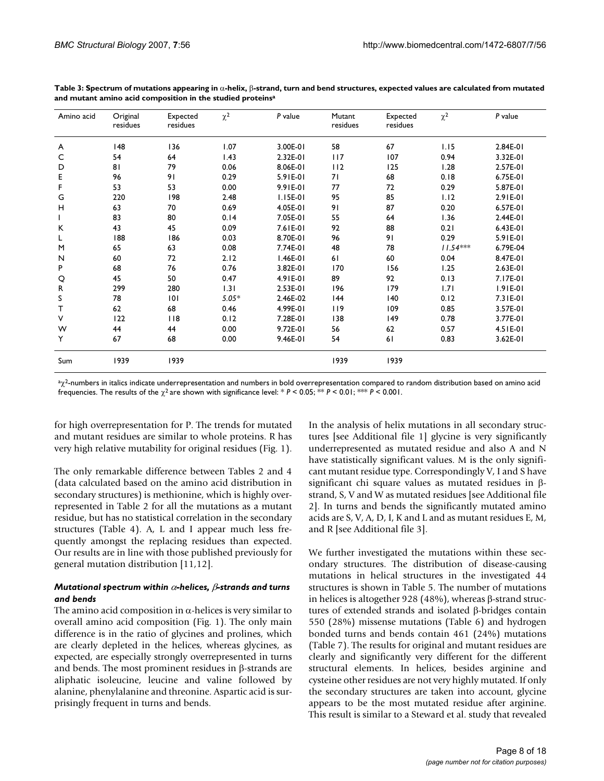| Amino acid   | Original<br>residues | Expected<br>residues | $\chi^2$ | P value    | Mutant<br>residues | Expected<br>residues | $\chi^2$   | P value    |
|--------------|----------------------|----------------------|----------|------------|--------------------|----------------------|------------|------------|
| A            | 148                  | 136                  | 1.07     | 3.00E-01   | 58                 | 67                   | 1.15       | 2.84E-01   |
| C            | 54                   | 64                   | 1.43     | 2.32E-01   | 117                | 107                  | 0.94       | 3.32E-01   |
| D            | 81                   | 79                   | 0.06     | 8.06E-01   | 112                | 125                  | 1.28       | 2.57E-01   |
| E            | 96                   | 91                   | 0.29     | 5.91E-01   | 71                 | 68                   | 0.18       | 6.75E-01   |
| F            | 53                   | 53                   | 0.00     | 9.91E-01   | 77                 | 72                   | 0.29       | 5.87E-01   |
| G            | 220                  | 198                  | 2.48     | I.15E-01   | 95                 | 85                   | 1.12       | 2.91E-01   |
| Н            | 63                   | 70                   | 0.69     | 4.05E-01   | 91                 | 87                   | 0.20       | 6.57E-01   |
|              | 83                   | 80                   | 0.14     | 7.05E-01   | 55                 | 64                   | 1.36       | 2.44E-01   |
| К            | 43                   | 45                   | 0.09     | 7.61E-01   | 92                 | 88                   | 0.21       | 6.43E-01   |
| L            | 188                  | 186                  | 0.03     | 8.70E-01   | 96                 | 91                   | 0.29       | 5.91E-01   |
| M            | 65                   | 63                   | 0.08     | 7.74E-01   | 48                 | 78                   | $11.54***$ | 6.79E-04   |
| $\mathsf{N}$ | 60                   | 72                   | 2.12     | $1.46E-01$ | 61                 | 60                   | 0.04       | 8.47E-01   |
| P            | 68                   | 76                   | 0.76     | 3.82E-01   | 170                | 156                  | 1.25       | 2.63E-01   |
| Q            | 45                   | 50                   | 0.47     | 4.91E-01   | 89                 | 92                   | 0.13       | 7.17E-01   |
| R            | 299                  | 280                  | 1.31     | 2.53E-01   | 196                | 179                  | 1.71       | $1.91E-01$ |
| S            | 78                   | 101                  | $5.05*$  | 2.46E-02   | 144                | 140                  | 0.12       | 7.31E-01   |
| т            | 62                   | 68                   | 0.46     | 4.99E-01   | 119                | 109                  | 0.85       | 3.57E-01   |
| $\vee$       | 122                  | 118                  | 0.12     | 7.28E-01   | 138                | 149                  | 0.78       | 3.77E-01   |
| W            | 44                   | 44                   | 0.00     | 9.72E-01   | 56                 | 62                   | 0.57       | 4.51E-01   |
| Y            | 67                   | 68                   | 0.00     | 9.46E-01   | 54                 | 61                   | 0.83       | 3.62E-01   |
| Sum          | 1939                 | 1939                 |          |            | 1939               | 1939                 |            |            |

**Table 3: Spectrum of mutations appearing in** α**-helix,** β**-strand, turn and bend structures, expected values are calculated from mutated and mutant amino acid composition in the studied proteinsa**

<sup>a</sup>χ2-numbers in italics indicate underrepresentation and numbers in bold overrepresentation compared to random distribution based on amino acid frequencies. The results of the  $\chi^2$  are shown with significance level: \*  $P < 0.05$ ; \*\*  $P < 0.01$ ; \*\*  $P < 0.001$ .

for high overrepresentation for P. The trends for mutated and mutant residues are similar to whole proteins. R has very high relative mutability for original residues (Fig. 1).

The only remarkable difference between Tables 2 and 4 (data calculated based on the amino acid distribution in secondary structures) is methionine, which is highly overrepresented in Table 2 for all the mutations as a mutant residue, but has no statistical correlation in the secondary structures (Table 4). A, L and I appear much less frequently amongst the replacing residues than expected. Our results are in line with those published previously for general mutation distribution [11,12].

#### *Mutational spectrum within* α*-helices,* β*-strands and turns and bends*

The amino acid composition in  $\alpha$ -helices is very similar to overall amino acid composition (Fig. 1). The only main difference is in the ratio of glycines and prolines, which are clearly depleted in the helices, whereas glycines, as expected, are especially strongly overrepresented in turns and bends. The most prominent residues in β-strands are aliphatic isoleucine, leucine and valine followed by alanine, phenylalanine and threonine. Aspartic acid is surprisingly frequent in turns and bends.

In the analysis of helix mutations in all secondary structures [see Additional file 1] glycine is very significantly underrepresented as mutated residue and also A and N have statistically significant values. M is the only significant mutant residue type. Correspondingly V, I and S have significant chi square values as mutated residues in βstrand, S, V and W as mutated residues [see Additional file 2]. In turns and bends the significantly mutated amino acids are S, V, A, D, I, K and L and as mutant residues  $E$ , M, and R [see Additional file 3].

We further investigated the mutations within these secondary structures. The distribution of disease-causing mutations in helical structures in the investigated 44 structures is shown in Table 5. The number of mutations in helices is altogether 928 (48%), whereas β-strand structures of extended strands and isolated β-bridges contain 550 (28%) missense mutations (Table 6) and hydrogen bonded turns and bends contain 461 (24%) mutations (Table 7). The results for original and mutant residues are clearly and significantly very different for the different structural elements. In helices, besides arginine and cysteine other residues are not very highly mutated. If only the secondary structures are taken into account, glycine appears to be the most mutated residue after arginine. This result is similar to a Steward et al. study that revealed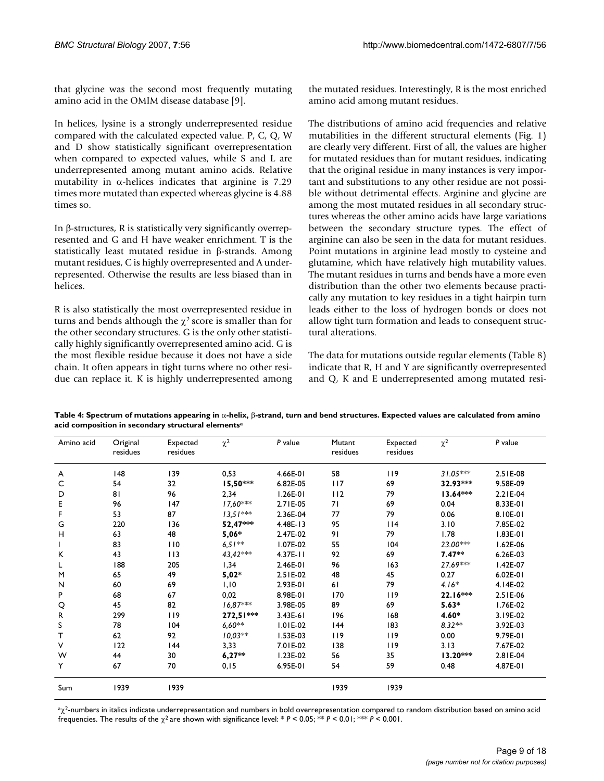that glycine was the second most frequently mutating amino acid in the OMIM disease database [9].

In helices, lysine is a strongly underrepresented residue compared with the calculated expected value. P, C, Q, W and D show statistically significant overrepresentation when compared to expected values, while S and L are underrepresented among mutant amino acids. Relative mutability in  $\alpha$ -helices indicates that arginine is 7.29 times more mutated than expected whereas glycine is 4.88 times so.

In β-structures, R is statistically very significantly overrepresented and G and H have weaker enrichment. T is the statistically least mutated residue in β-strands. Among mutant residues, C is highly overrepresented and A underrepresented. Otherwise the results are less biased than in helices.

R is also statistically the most overrepresented residue in turns and bends although the  $\chi^2$  score is smaller than for the other secondary structures. G is the only other statistically highly significantly overrepresented amino acid. G is the most flexible residue because it does not have a side chain. It often appears in tight turns where no other residue can replace it. K is highly underrepresented among the mutated residues. Interestingly, R is the most enriched amino acid among mutant residues.

The distributions of amino acid frequencies and relative mutabilities in the different structural elements (Fig. 1) are clearly very different. First of all, the values are higher for mutated residues than for mutant residues, indicating that the original residue in many instances is very important and substitutions to any other residue are not possible without detrimental effects. Arginine and glycine are among the most mutated residues in all secondary structures whereas the other amino acids have large variations between the secondary structure types. The effect of arginine can also be seen in the data for mutant residues. Point mutations in arginine lead mostly to cysteine and glutamine, which have relatively high mutability values. The mutant residues in turns and bends have a more even distribution than the other two elements because practically any mutation to key residues in a tight hairpin turn leads either to the loss of hydrogen bonds or does not allow tight turn formation and leads to consequent structural alterations.

The data for mutations outside regular elements (Table 8) indicate that R, H and Y are significantly overrepresented and Q, K and E underrepresented among mutated resi-

**Table 4: Spectrum of mutations appearing in** α**-helix,** β**-strand, turn and bend structures. Expected values are calculated from amino acid composition in secondary structural elementsa**

| Amino acid | Original<br>residues | Expected<br>residues | $\chi^2$    | P value      | Mutant<br>residues | Expected<br>residues | $\chi^2$   | P value      |
|------------|----------------------|----------------------|-------------|--------------|--------------------|----------------------|------------|--------------|
| A          | 148                  | 139                  | 0,53        | 4.66E-01     | 58                 | 119                  | $31.05***$ | 2.51E-08     |
| C          | 54                   | 32                   | $15,50***$  | 6.82E-05     | 117                | 69                   | 32.93***   | 9.58E-09     |
| D          | 81                   | 96                   | 2,34        | $1.26E-01$   | 112                | 79                   | $13.64***$ | 2.21E-04     |
| E          | 96                   | 147                  | $17,60***$  | 2.71E-05     | 71                 | 69                   | 0.04       | 8.33E-01     |
| F          | 53                   | 87                   | $13.51***$  | 2.36E-04     | 77                 | 79                   | 0.06       | 8.10E-01     |
| G          | 220                  | 136                  | 52,47***    | 4.48E-13     | 95                 | 114                  | 3.10       | 7.85E-02     |
| н          | 63                   | 48                   | $5,06*$     | 2.47E-02     | 91                 | 79                   | 1.78       | $1.83E - 01$ |
|            | 83                   | 110                  | $6.51***$   | I.07E-02     | 55                 | 104                  | 23.00***   | $1.62E-06$   |
| K          | 43                   | 113                  | 43,42***    | $4.37E - 11$ | 92                 | 69                   | $7.47**$   | 6.26E-03     |
| L          | 188                  | 205                  | 1,34        | 2.46E-01     | 96                 | 163                  | 27.69***   | $1.42E-07$   |
| M          | 65                   | 49                   | $5,02*$     | 2.51E-02     | 48                 | 45                   | 0.27       | $6.02E-01$   |
| N          | 60                   | 69                   | 1,10        | 2.93E-01     | 61                 | 79                   | $4.16*$    | 4.14E-02     |
| P          | 68                   | 67                   | 0,02        | 8.98E-01     | 170                | 119                  | 22.16***   | 2.51E-06     |
| Q          | 45                   | 82                   | $16,87***$  | 3.98E-05     | 89                 | 69                   | $5.63*$    | I.76E-02     |
| R          | 299                  | 119                  | $272,51***$ | 3.43E-61     | 196                | 168                  | $4.60*$    | 3.19E-02     |
| S          | 78                   | 104                  | $6,60**$    | $1.01E-02$   | 44                 | 183                  | $8.32**$   | 3.92E-03     |
| т          | 62                   | 92                   | $10,03**$   | I.53E-03     | 119                | 119                  | 0.00       | 9.79E-01     |
| V          | 122                  | 144                  | 3,33        | 7.01E-02     | 138                | 119                  | 3.13       | 7.67E-02     |
| W          | 44                   | 30                   | $6,27**$    | I.23E-02     | 56                 | 35                   | $13.20***$ | 2.81E-04     |
| Y          | 67                   | 70                   | 0, 15       | 6.95E-01     | 54                 | 59                   | 0.48       | 4.87E-01     |
| Sum        | 1939                 | 1939                 |             |              | 1939               | 1939                 |            |              |

a<sub>χ</sub>2-numbers in italics indicate underrepresentation and numbers in bold overrepresentation compared to random distribution based on amino acid frequencies. The results of the  $\chi^2$  are shown with significance level: \*  $P < 0.05$ ; \*\*  $P < 0.01$ ; \*\*  $P < 0.001$ .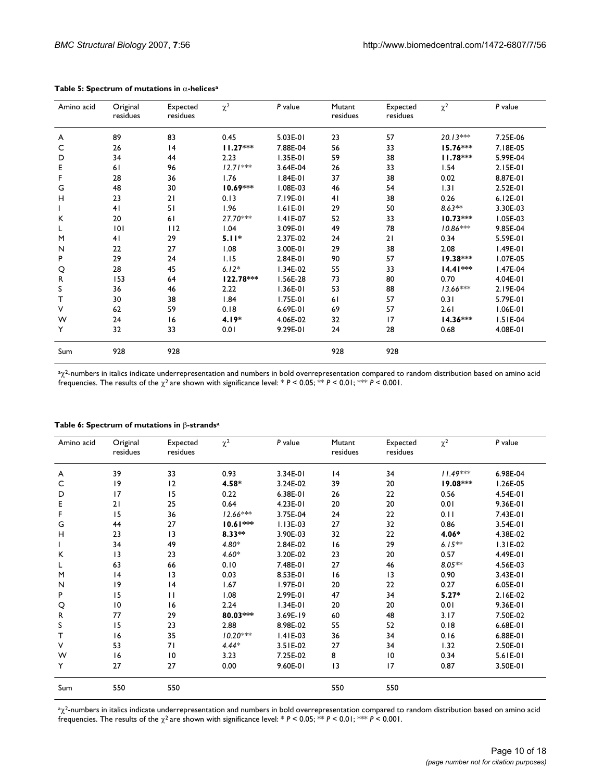| Amino acid | Original<br>residues | Expected<br>residues | $\chi^2$   | P value      | Mutant<br>residues | Expected<br>residues | $\chi^2$   | P value      |
|------------|----------------------|----------------------|------------|--------------|--------------------|----------------------|------------|--------------|
| A          | 89                   | 83                   | 0.45       | 5.03E-01     | 23                 | 57                   | $20.13***$ | 7.25E-06     |
| C          | 26                   | 4                    | $11.27***$ | 7.88E-04     | 56                 | 33                   | $15.76***$ | 7.18E-05     |
| D          | 34                   | 44                   | 2.23       | $1.35E-01$   | 59                 | 38                   | $11.78***$ | 5.99E-04     |
| E          | 61                   | 96                   | $12.71***$ | 3.64E-04     | 26                 | 33                   | 1.54       | 2.15E-01     |
| F          | 28                   | 36                   | 1.76       | $1.84E - 01$ | 37                 | 38                   | 0.02       | 8.87E-01     |
| G          | 48                   | 30                   | $10.69***$ | I.08E-03     | 46                 | 54                   | 1.31       | 2.52E-01     |
| Н          | 23                   | 21                   | 0.13       | 7.19E-01     | 41                 | 38                   | 0.26       | 6.12E-01     |
| L          | 41                   | 51                   | 1.96       | $1.61E-01$   | 29                 | 50                   | $8.63***$  | 3.30E-03     |
| K          | 20                   | 61                   | 27.70***   | $1.41E-07$   | 52                 | 33                   | $10.73***$ | I.05E-03     |
| L          | 101                  | 112                  | 1.04       | 3.09E-01     | 49                 | 78                   | $10.86***$ | 9.85E-04     |
| M          | 41                   | 29                   | $5.11*$    | 2.37E-02     | 24                 | 21                   | 0.34       | 5.59E-01     |
| N          | 22                   | 27                   | 0.1        | 3.00E-01     | 29                 | 38                   | 2.08       | $1.49E - 01$ |
| P          | 29                   | 24                   | 1.15       | 2.84E-01     | 90                 | 57                   | $19.38***$ | I.07E-05     |
| Q          | 28                   | 45                   | $6.12*$    | $1.34E-02$   | 55                 | 33                   | $14.41***$ | I.47E-04     |
| R          | 153                  | 64                   | 122.78***  | I.56E-28     | 73                 | 80                   | 0.70       | 4.04E-01     |
| S          | 36                   | 46                   | 2.22       | $1.36E-01$   | 53                 | 88                   | $13.66***$ | 2.19E-04     |
| т          | 30                   | 38                   | 1.84       | $1.75E-01$   | 61                 | 57                   | 0.31       | 5.79E-01     |
| $\vee$     | 62                   | 59                   | 0.18       | 6.69E-01     | 69                 | 57                   | 2.61       | 1.06E-01     |
| W          | 24                   | 16                   | $4.19*$    | 4.06E-02     | 32                 | 17                   | $14.36***$ | $1.5$ I E-04 |
| Y          | 32                   | 33                   | 0.01       | 9.29E-01     | 24                 | 28                   | 0.68       | 4.08E-01     |
| Sum        | 928                  | 928                  |            |              | 928                | 928                  |            |              |

#### **Table 5: Spectrum of mutations in** α**-helicesa**

a<sub>χ</sub>2-numbers in italics indicate underrepresentation and numbers in bold overrepresentation compared to random distribution based on amino acid frequencies. The results of the  $\chi^2$  are shown with significance level: \* *P* < 0.05; \*\* *P* < 0.01; \*\* *P* < 0.001.

| Amino acid   | Original<br>residues | Expected<br>residues | $\chi^2$   | P value    | Mutant<br>residues | Expected<br>residues | $\chi^2$   | P value     |
|--------------|----------------------|----------------------|------------|------------|--------------------|----------------------|------------|-------------|
| A            | 39                   | 33                   | 0.93       | 3.34E-01   | 4                  | 34                   | $11.49***$ | 6.98E-04    |
| C            | 9                    | 12                   | $4.58*$    | 3.24E-02   | 39                 | 20                   | 19.08***   | I.26E-05    |
| D            | 17                   | 15                   | 0.22       | 6.38E-01   | 26                 | 22                   | 0.56       | 4.54E-01    |
| Е            | 21                   | 25                   | 0.64       | 4.23E-01   | 20                 | 20                   | 0.01       | 9.36E-01    |
| F            | 15                   | 36                   | $12.66***$ | 3.75E-04   | 24                 | 22                   | 0.11       | 7.43E-01    |
| G            | 44                   | 27                   | $10.61***$ | $1.13E-03$ | 27                 | 32                   | 0.86       | 3.54E-01    |
| H            | 23                   | 3                    | $8.33**$   | 3.90E-03   | 32                 | 22                   | $4.06*$    | 4.38E-02    |
|              | 34                   | 49                   | $4.80*$    | 2.84E-02   | 16                 | 29                   | $6.15***$  | $1.3$ IE-02 |
| K            | 3                    | 23                   | $4.60*$    | 3.20E-02   | 23                 | 20                   | 0.57       | 4.49E-01    |
| L            | 63                   | 66                   | 0.10       | 7.48E-01   | 27                 | 46                   | $8.05***$  | 4.56E-03    |
| M            | 4                    | 3                    | 0.03       | 8.53E-01   | 16                 | 3                    | 0.90       | 3.43E-01    |
| $\mathsf{N}$ | 19                   | 4                    | 1.67       | $1.97E-01$ | 20                 | 22                   | 0.27       | 6.05E-01    |
| P            | 15                   | $\mathbf{H}$         | 1.08       | 2.99E-01   | 47                 | 34                   | $5.27*$    | 2.16E-02    |
| Q            | $\overline{0}$       | 16                   | 2.24       | $1.34E-01$ | 20                 | 20                   | 0.01       | 9.36E-01    |
| R            | 77                   | 29                   | 80.03***   | 3.69E-19   | 60                 | 48                   | 3.17       | 7.50E-02    |
| s            | 15                   | 23                   | 2.88       | 8.98E-02   | 55                 | 52                   | 0.18       | $6.68E-01$  |
| т            | 16                   | 35                   | $10.20***$ | $1.41E-03$ | 36                 | 34                   | 0.16       | 6.88E-01    |
| $\vee$       | 53                   | 71                   | $4.44*$    | 3.51E-02   | 27                 | 34                   | 1.32       | 2.50E-01    |
| W            | 16                   | 10                   | 3.23       | 7.25E-02   | 8                  | $\overline{10}$      | 0.34       | 5.61E-01    |
| Y            | 27                   | 27                   | 0.00       | 9.60E-01   | 3                  | 17                   | 0.87       | 3.50E-01    |
| Sum          | 550                  | 550                  |            |            | 550                | 550                  |            |             |

#### **Table 6: Spectrum of mutations in** β**-strandsa**

aχ<sup>2</sup>-numbers in italics indicate underrepresentation and numbers in bold overrepresentation compared to random distribution based on amino acid frequencies. The results of the  $\chi^2$  are shown with significance level: \*  $P < 0.05$ ; \*\*  $P < 0.01$ ; \*\*  $P < 0.001$ .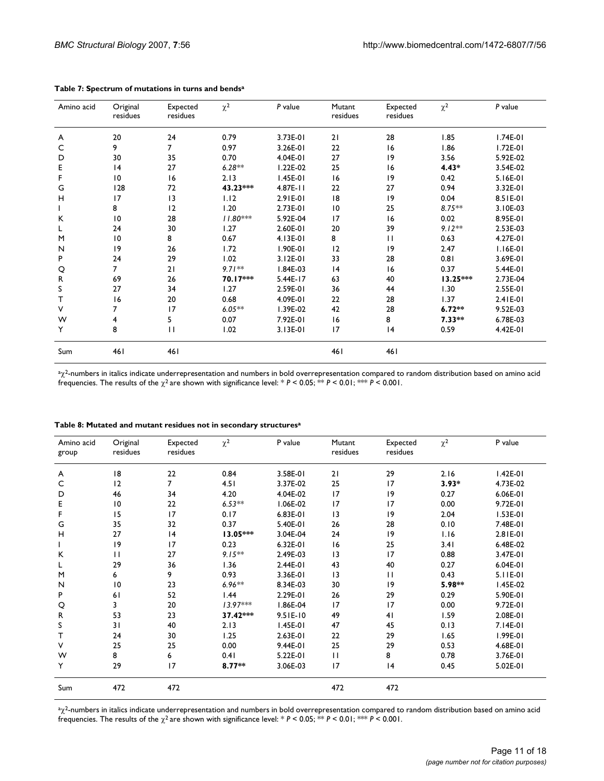| Amino acid   | Original<br>residues | Expected<br>residues | $\chi^2$   | P value      | Mutant<br>residues | Expected<br>residues | $\chi^2$   | P value    |
|--------------|----------------------|----------------------|------------|--------------|--------------------|----------------------|------------|------------|
| A            | 20                   | 24                   | 0.79       | 3.73E-01     | 21                 | 28                   | 1.85       | 1.74E-01   |
| C            | 9                    | 7                    | 0.97       | 3.26E-01     | 22                 | 16                   | 1.86       | $1.72E-01$ |
| D            | 30                   | 35                   | 0.70       | 4.04E-01     | 27                 | 9                    | 3.56       | 5.92E-02   |
| Е            | 4                    | 27                   | $6.28**$   | I.22E-02     | 25                 | 16                   | $4.43*$    | 3.54E-02   |
| F            | 10                   | 16                   | 2.13       | $1.45E-01$   | 16                 | 9                    | 0.42       | 5.16E-01   |
| G            | 128                  | 72                   | 43.23***   | 4.87E-11     | 22                 | 27                   | 0.94       | 3.32E-01   |
| Н            | 17                   | 3                    | 1.12       | 2.91E-01     | 8                  | 9                    | 0.04       | 8.51E-01   |
| I.           | 8                    | 12                   | 1.20       | 2.73E-01     | $\overline{10}$    | 25                   | $8.75***$  | 3.10E-03   |
| K            | 10                   | 28                   | $11.80***$ | 5.92E-04     | 17                 | 16                   | 0.02       | 8.95E-01   |
| L            | 24                   | 30                   | 1.27       | 2.60E-01     | 20                 | 39                   | $9.12**$   | 2.53E-03   |
| M            | 10                   | 8                    | 0.67       | 4.13E-01     | 8                  | $\mathbf{H}$         | 0.63       | 4.27E-01   |
| $\mathsf{N}$ | 9                    | 26                   | 1.72       | 1.90E-01     | 12                 | 9                    | 2.47       | $1.16E-01$ |
| P            | 24                   | 29                   | 1.02       | 3.12E-01     | 33                 | 28                   | 0.81       | 3.69E-01   |
| Q            | $\overline{7}$       | 21                   | $9.71***$  | I.84E-03     | 4                  | 16                   | 0.37       | 5.44E-01   |
| R            | 69                   | 26                   | 70.17***   | $5.44E - 17$ | 63                 | 40                   | $13.25***$ | 2.73E-04   |
| S            | 27                   | 34                   | 1.27       | 2.59E-01     | 36                 | 44                   | 1.30       | 2.55E-01   |
| т            | 16                   | 20                   | 0.68       | 4.09E-01     | 22                 | 28                   | 1.37       | $2.41E-01$ |
| $\vee$       | 7                    | 17                   | $6.05***$  | I.39E-02     | 42                 | 28                   | $6.72**$   | 9.52E-03   |
| W            | 4                    | 5                    | 0.07       | 7.92E-01     | 16                 | 8                    | $7.33**$   | 6.78E-03   |
| Y            | 8                    | $\mathbf{H}$         | 1.02       | 3.13E-01     | 17                 | 4                    | 0.59       | 4.42E-01   |
| Sum          | 461                  | <b>461</b>           |            |              | 461                | 46 I                 |            |            |

#### **Table 7: Spectrum of mutations in turns and bendsa**

a<sub>χ</sub>2-numbers in italics indicate underrepresentation and numbers in bold overrepresentation compared to random distribution based on amino acid frequencies. The results of the  $\chi^2$  are shown with significance level: \* *P* < 0.05; \*\* *P* < 0.01; \*\* *P* < 0.001.

| Amino acid<br>group | Original<br>residues | Expected<br>residues | $\chi^2$   | P value    | Mutant<br>residues | Expected<br>residues | $\chi^2$ | P value    |
|---------------------|----------------------|----------------------|------------|------------|--------------------|----------------------|----------|------------|
| A                   | 8                    | 22                   | 0.84       | 3.58E-01   | 21                 | 29                   | 2.16     | $1.42E-01$ |
| C                   | 12                   | 7                    | 4.51       | 3.37E-02   | 25                 | 17                   | $3.93*$  | 4.73E-02   |
| D                   | 46                   | 34                   | 4.20       | 4.04E-02   | 17                 | 9                    | 0.27     | 6.06E-01   |
| E                   | 10                   | 22                   | $6.53**$   | I.06E-02   | 17                 | 17                   | 0.00     | 9.72E-01   |
| F                   | 15                   | 17                   | 0.17       | 6.83E-01   | 3                  | 9                    | 2.04     | $1.53E-01$ |
| G                   | 35                   | 32                   | 0.37       | 5.40E-01   | 26                 | 28                   | 0.10     | 7.48E-01   |
| н                   | 27                   | 4                    | $13.05***$ | 3.04E-04   | 24                 | 9                    | 1.16     | 2.81E-01   |
|                     | 9                    | 17                   | 0.23       | 6.32E-01   | 16                 | 25                   | 3.41     | 6.48E-02   |
| Κ                   | $\mathbf{H}$         | 27                   | $9.15***$  | 2.49E-03   | 3                  | 17                   | 0.88     | 3.47E-01   |
| L                   | 29                   | 36                   | 1.36       | $2.44E-01$ | 43                 | 40                   | 0.27     | $6.04E-01$ |
| M                   | 6                    | 9                    | 0.93       | 3.36E-01   | 13                 | $\mathbf{H}$         | 0.43     | 5.11E-01   |
| N                   | 0                    | 23                   | $6.96***$  | 8.34E-03   | 30                 | 9                    | 5.98**   | I.45E-02   |
| P                   | 61                   | 52                   | 1.44       | 2.29E-01   | 26                 | 29                   | 0.29     | 5.90E-01   |
| Q                   | 3                    | 20                   | 13.97***   | I.86E-04   | 17                 | 17                   | 0.00     | 9.72E-01   |
| R                   | 53                   | 23                   | 37.42***   | $9.51E-10$ | 49                 | 41                   | 1.59     | 2.08E-01   |
| S                   | 31                   | 40                   | 2.13       | $1.45E-01$ | 47                 | 45                   | 0.13     | $7.14E-01$ |
| т                   | 24                   | 30                   | 1.25       | 2.63E-01   | 22                 | 29                   | 1.65     | $1.99E-01$ |
| V                   | 25                   | 25                   | 0.00       | 9.44E-01   | 25                 | 29                   | 0.53     | 4.68E-01   |
| W                   | 8                    | 6                    | 0.41       | 5.22E-01   | $\mathbf{H}$       | 8                    | 0.78     | 3.76E-01   |
| Y                   | 29                   | 17                   | $8.77**$   | 3.06E-03   | 17                 | 4                    | 0.45     | 5.02E-01   |
| Sum                 | 472                  | 472                  |            |            | 472                | 472                  |          |            |

**Table 8: Mutated and mutant residues not in secondary structuresa**

aχ<sup>2</sup>-numbers in italics indicate underrepresentation and numbers in bold overrepresentation compared to random distribution based on amino acid frequencies. The results of the  $\chi^2$  are shown with significance level: \*  $P < 0.05$ ; \*\*  $P < 0.01$ ; \*\*  $P < 0.001$ .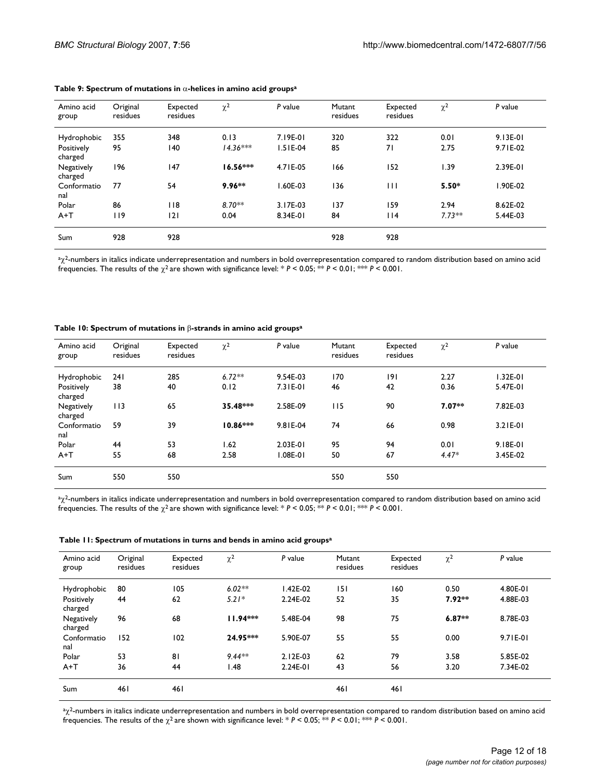| Amino acid<br>group   | Original<br>residues | Expected<br>residues | $\chi^2$   | P value     | Mutant<br>residues | Expected<br>residues | $\chi^2$ | P value  |
|-----------------------|----------------------|----------------------|------------|-------------|--------------------|----------------------|----------|----------|
| Hydrophobic           | 355                  | 348                  | 0.13       | 7.19E-01    | 320                | 322                  | 0.01     | 9.13E-01 |
| Positively<br>charged | 95                   | 140                  | $14.36***$ | $1.5$ IE-04 | 85                 | 71                   | 2.75     | 9.71E-02 |
| Negatively<br>charged | 196                  | 147                  | $16.56***$ | 4.71E-05    | 166                | 152                  | 1.39     | 2.39E-01 |
| Conformatio<br>nal    | 77                   | 54                   | $9.96**$   | I.60E-03    | 136                | $\mathbf{H}$         | $5.50*$  | 1.90E-02 |
| Polar                 | 86                   | $ $  8               | $8.70**$   | 3.17E-03    | 137                | 159                  | 2.94     | 8.62E-02 |
| $A+T$                 | 119                  | 2                    | 0.04       | 8.34E-01    | 84                 | 114                  | $7.73**$ | 5.44E-03 |
| Sum                   | 928                  | 928                  |            |             | 928                | 928                  |          |          |

| Table 9: Spectrum of mutations in $\alpha$ -helices in amino acid groups $^{\tt a}$ |  |
|-------------------------------------------------------------------------------------|--|
|-------------------------------------------------------------------------------------|--|

aχ<sup>2</sup>-numbers in italics indicate underrepresentation and numbers in bold overrepresentation compared to random distribution based on amino acid frequencies. The results of the  $\chi^2$  are shown with significance level: \*  $P < 0.05$ ; \*\*  $P < 0.01$ ; \*\*  $P < 0.001$ .

| Amino acid<br>group   | Original<br>residues | Expected<br>residues | $\chi^2$   | P value  | Mutant<br>residues | Expected<br>residues | $\chi^2$ | P value      |
|-----------------------|----------------------|----------------------|------------|----------|--------------------|----------------------|----------|--------------|
| Hydrophobic           | 241                  | 285                  | $6.72**$   | 9.54E-03 | 170                | 9                    | 2.27     | $1.32E - 01$ |
| Positively<br>charged | 38                   | 40                   | 0.12       | 7.31E-01 | 46                 | 42                   | 0.36     | 5.47E-01     |
| Negatively<br>charged | 113                  | 65                   | 35.48***   | 2.58E-09 | 115                | 90                   | $7.07**$ | 7.82E-03     |
| Conformatio<br>nal    | 59                   | 39                   | $10.86***$ | 9.81E-04 | 74                 | 66                   | 0.98     | $3.21E-01$   |
| Polar                 | 44                   | 53                   | 1.62       | 2.03E-01 | 95                 | 94                   | 0.01     | 9.18E-01     |
| $A+T$                 | 55                   | 68                   | 2.58       | 1.08E-01 | 50                 | 67                   | $4.47*$  | 3.45E-02     |
| Sum                   | 550                  | 550                  |            |          | 550                | 550                  |          |              |

a<sub>χ</sub>2-numbers in italics indicate underrepresentation and numbers in bold overrepresentation compared to random distribution based on amino acid frequencies. The results of the  $\chi^2$  are shown with significance level: \*  $P < 0.05$ ; \*\*  $P < 0.01$ ; \*\*  $P < 0.001$ .

| Table 11: Spectrum of mutations in turns and bends in amino acid groups <sup>a</sup> |  |
|--------------------------------------------------------------------------------------|--|

| Amino acid<br>group   | Original<br>residues | Expected<br>residues | $\chi^2$   | P value    | Mutant<br>residues | Expected<br>residues | $\chi^2$ | P value     |
|-----------------------|----------------------|----------------------|------------|------------|--------------------|----------------------|----------|-------------|
| Hydrophobic           | 80                   | 105                  | $6.02**$   | $1.42E-02$ | 151                | 160                  | 0.50     | 4.80E-01    |
| Positively<br>charged | 44                   | 62                   | $5.21*$    | 2.24E-02   | 52                 | 35                   | $7.92**$ | 4.88E-03    |
| Negatively<br>charged | 96                   | 68                   | $11.94***$ | 5.48E-04   | 98                 | 75                   | $6.87**$ | 8.78E-03    |
| Conformatio<br>nal    | 152                  | 102                  | 24.95***   | 5.90E-07   | 55                 | 55                   | 0.00     | $9.7$   E-0 |
| Polar                 | 53                   | 81                   | $9.44**$   | 2.12E-03   | 62                 | 79                   | 3.58     | 5.85E-02    |
| $A+T$                 | 36                   | 44                   | 1.48       | 2.24E-01   | 43                 | 56                   | 3.20     | 7.34E-02    |
| Sum                   | 461                  | 461                  |            |            | 461                | 461                  |          |             |

 $a_\chi$ 2-numbers in italics indicate underrepresentation and numbers in bold overrepresentation compared to random distribution based on amino acid frequencies. The results of the  $\chi^2$  are shown with significance level: \*  $P$  < 0.05; \*\*  $P$  < 0.01; \*\*  $P$  < 0.001.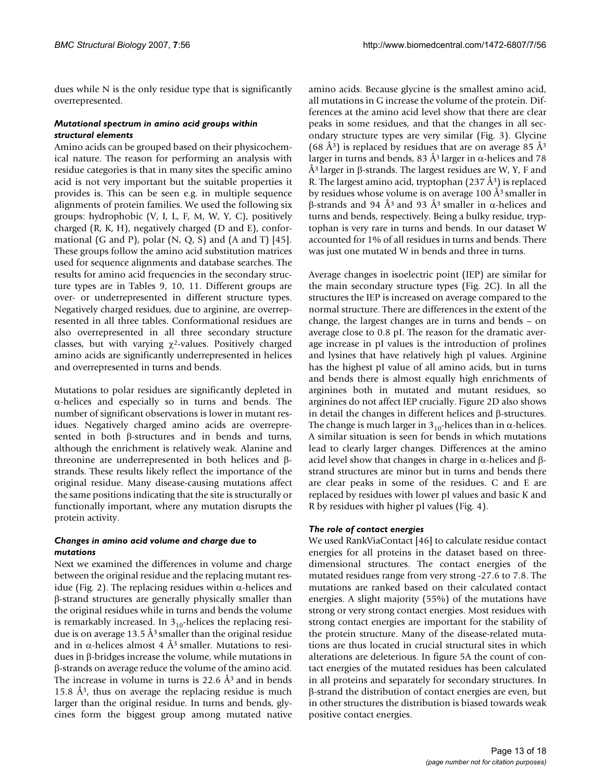dues while N is the only residue type that is significantly overrepresented.

#### *Mutational spectrum in amino acid groups within structural elements*

Amino acids can be grouped based on their physicochemical nature. The reason for performing an analysis with residue categories is that in many sites the specific amino acid is not very important but the suitable properties it provides is. This can be seen e.g. in multiple sequence alignments of protein families. We used the following six groups: hydrophobic (V, I, L, F, M, W, Y, C), positively charged (R, K, H), negatively charged (D and E), conformational (G and P), polar (N, Q, S) and (A and T)  $[45]$ . These groups follow the amino acid substitution matrices used for sequence alignments and database searches. The results for amino acid frequencies in the secondary structure types are in Tables 9, 10, 11. Different groups are over- or underrepresented in different structure types. Negatively charged residues, due to arginine, are overrepresented in all three tables. Conformational residues are also overrepresented in all three secondary structure classes, but with varying  $\chi^2$ -values. Positively charged amino acids are significantly underrepresented in helices and overrepresented in turns and bends.

Mutations to polar residues are significantly depleted in  $\alpha$ -helices and especially so in turns and bends. The number of significant observations is lower in mutant residues. Negatively charged amino acids are overrepresented in both β-structures and in bends and turns, although the enrichment is relatively weak. Alanine and threonine are underrepresented in both helices and βstrands. These results likely reflect the importance of the original residue. Many disease-causing mutations affect the same positions indicating that the site is structurally or functionally important, where any mutation disrupts the protein activity.

#### *Changes in amino acid volume and charge due to mutations*

Next we examined the differences in volume and charge between the original residue and the replacing mutant residue (Fig. 2). The replacing residues within α-helices and β-strand structures are generally physically smaller than the original residues while in turns and bends the volume is remarkably increased. In  $3_{10}$ -helices the replacing residue is on average 13.5  $\AA$ <sup>3</sup> smaller than the original residue and in  $\alpha$ -helices almost 4 Å<sup>3</sup> smaller. Mutations to residues in β-bridges increase the volume, while mutations in β-strands on average reduce the volume of the amino acid. The increase in volume in turns is 22.6  $\AA$ <sup>3</sup> and in bends 15.8  $\AA^3$ , thus on average the replacing residue is much larger than the original residue. In turns and bends, glycines form the biggest group among mutated native amino acids. Because glycine is the smallest amino acid, all mutations in G increase the volume of the protein. Differences at the amino acid level show that there are clear peaks in some residues, and that the changes in all secondary structure types are very similar (Fig. 3). Glycine (68 Å<sup>3</sup>) is replaced by residues that are on average 85 Å<sup>3</sup> larger in turns and bends, 83 Å<sup>3</sup> larger in α-helices and 78 Å<sup>3</sup> larger in β-strands. The largest residues are W, Y, F and R. The largest amino acid, tryptophan  $(237 \text{ Å}^3)$  is replaced by residues whose volume is on average 100 Å3 smaller in β-strands and 94 Å<sup>3</sup> and 93 Å<sup>3</sup> smaller in α-helices and turns and bends, respectively. Being a bulky residue, tryptophan is very rare in turns and bends. In our dataset W accounted for 1% of all residues in turns and bends. There was just one mutated W in bends and three in turns.

Average changes in isoelectric point (IEP) are similar for the main secondary structure types (Fig. 2C). In all the structures the IEP is increased on average compared to the normal structure. There are differences in the extent of the change, the largest changes are in turns and bends – on average close to 0.8 pI. The reason for the dramatic average increase in pI values is the introduction of prolines and lysines that have relatively high pI values. Arginine has the highest pI value of all amino acids, but in turns and bends there is almost equally high enrichments of arginines both in mutated and mutant residues, so arginines do not affect IEP crucially. Figure 2D also shows in detail the changes in different helices and β-structures. The change is much larger in  $3_{10}$ -helices than in  $\alpha$ -helices. A similar situation is seen for bends in which mutations lead to clearly larger changes. Differences at the amino acid level show that changes in charge in  $α$ -helices and βstrand structures are minor but in turns and bends there are clear peaks in some of the residues. C and E are replaced by residues with lower pI values and basic K and R by residues with higher pI values (Fig. 4).

#### *The role of contact energies*

We used RankViaContact [46] to calculate residue contact energies for all proteins in the dataset based on threedimensional structures. The contact energies of the mutated residues range from very strong -27.6 to 7.8. The mutations are ranked based on their calculated contact energies. A slight majority (55%) of the mutations have strong or very strong contact energies. Most residues with strong contact energies are important for the stability of the protein structure. Many of the disease-related mutations are thus located in crucial structural sites in which alterations are deleterious. In figure 5A the count of contact energies of the mutated residues has been calculated in all proteins and separately for secondary structures. In β-strand the distribution of contact energies are even, but in other structures the distribution is biased towards weak positive contact energies.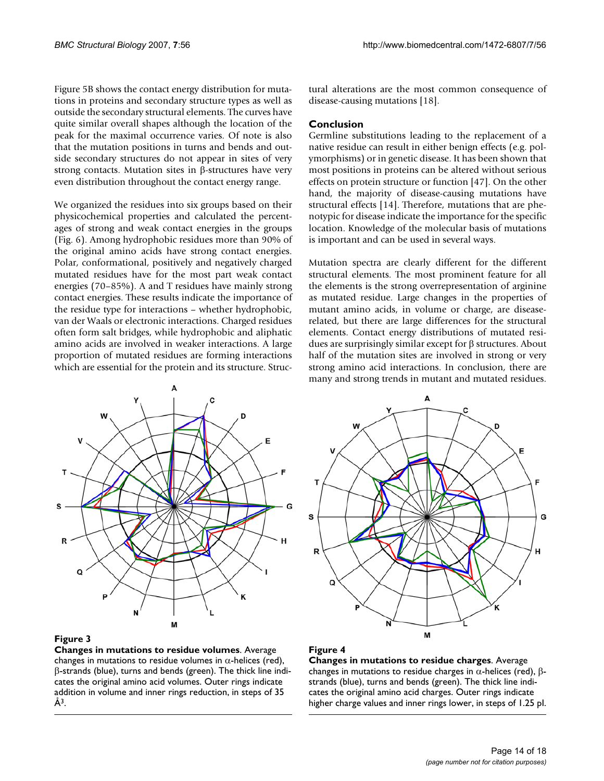Figure 5B shows the contact energy distribution for mutations in proteins and secondary structure types as well as outside the secondary structural elements. The curves have quite similar overall shapes although the location of the peak for the maximal occurrence varies. Of note is also that the mutation positions in turns and bends and outside secondary structures do not appear in sites of very strong contacts. Mutation sites in β-structures have very even distribution throughout the contact energy range.

We organized the residues into six groups based on their physicochemical properties and calculated the percentages of strong and weak contact energies in the groups (Fig. 6). Among hydrophobic residues more than 90% of the original amino acids have strong contact energies. Polar, conformational, positively and negatively charged mutated residues have for the most part weak contact energies (70–85%). A and T residues have mainly strong contact energies. These results indicate the importance of the residue type for interactions – whether hydrophobic, van der Waals or electronic interactions. Charged residues often form salt bridges, while hydrophobic and aliphatic amino acids are involved in weaker interactions. A large proportion of mutated residues are forming interactions which are essential for the protein and its structure. Struc-



#### tural alterations are the most common consequence of disease-causing mutations [18].

#### **Conclusion**

Germline substitutions leading to the replacement of a native residue can result in either benign effects (e.g. polymorphisms) or in genetic disease. It has been shown that most positions in proteins can be altered without serious effects on protein structure or function [47]. On the other hand, the majority of disease-causing mutations have structural effects [14]. Therefore, mutations that are phenotypic for disease indicate the importance for the specific location. Knowledge of the molecular basis of mutations is important and can be used in several ways.

Mutation spectra are clearly different for the different structural elements. The most prominent feature for all the elements is the strong overrepresentation of arginine as mutated residue. Large changes in the properties of mutant amino acids, in volume or charge, are diseaserelated, but there are large differences for the structural elements. Contact energy distributions of mutated residues are surprisingly similar except for β structures. About half of the mutation sites are involved in strong or very strong amino acid interactions. In conclusion, there are many and strong trends in mutant and mutated residues.



#### **Figure 3**

**Changes in mutations to residue volumes**. Average changes in mutations to residue volumes in  $\alpha$ -helices (red), β-strands (blue), turns and bends (green). The thick line indicates the original amino acid volumes. Outer rings indicate addition in volume and inner rings reduction, in steps of 35  $A^3$ .

#### **Figure 4**

**Changes in mutations to residue charges**. Average changes in mutations to residue charges in  $α$ -helices (red),  $β$ strands (blue), turns and bends (green). The thick line indicates the original amino acid charges. Outer rings indicate higher charge values and inner rings lower, in steps of 1.25 pI.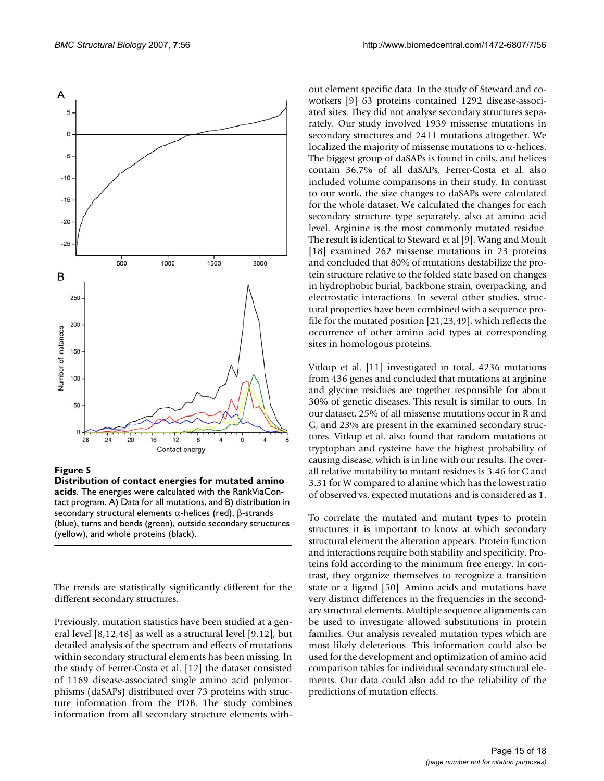

**Figure 5** 

**Distribution of contact energies for mutated amino acids**. The energies were calculated with the RankViaContact program. A) Data for all mutations, and B) distribution in secondary structural elements  $\alpha$ -helices (red), β-strands (blue), turns and bends (green), outside secondary structures (yellow), and whole proteins (black).

The trends are statistically significantly different for the different secondary structures.

Previously, mutation statistics have been studied at a general level [8,12,48] as well as a structural level [9,12], but detailed analysis of the spectrum and effects of mutations within secondary structural elements has been missing. In the study of Ferrer-Costa et al. [12] the dataset consisted of 1169 disease-associated single amino acid polymorphisms (daSAPs) distributed over 73 proteins with structure information from the PDB. The study combines information from all secondary structure elements without element specific data. In the study of Steward and coworkers [9] 63 proteins contained 1292 disease-associated sites. They did not analyse secondary structures separately. Our study involved 1939 missense mutations in secondary structures and 2411 mutations altogether. We localized the majority of missense mutations to α-helices. The biggest group of daSAPs is found in coils, and helices contain 36.7% of all daSAPs. Ferrer-Costa et al. also included volume comparisons in their study. In contrast to our work, the size changes to daSAPs were calculated for the whole dataset. We calculated the changes for each secondary structure type separately, also at amino acid level. Arginine is the most commonly mutated residue. The result is identical to Steward et al [9]. Wang and Moult [18] examined 262 missense mutations in 23 proteins and concluded that 80% of mutations destabilize the protein structure relative to the folded state based on changes in hydrophobic burial, backbone strain, overpacking, and electrostatic interactions. In several other studies, structural properties have been combined with a sequence profile for the mutated position [21,23,49], which reflects the occurrence of other amino acid types at corresponding sites in homologous proteins.

Vitkup et al. [11] investigated in total, 4236 mutations from 436 genes and concluded that mutations at arginine and glycine residues are together responsible for about 30% of genetic diseases. This result is similar to ours. In our dataset, 25% of all missense mutations occur in R and G, and 23% are present in the examined secondary structures. Vitkup et al. also found that random mutations at tryptophan and cysteine have the highest probability of causing disease, which is in line with our results. The overall relative mutability to mutant residues is 3.46 for C and 3.31 for W compared to alanine which has the lowest ratio of observed vs. expected mutations and is considered as 1.

To correlate the mutated and mutant types to protein structures it is important to know at which secondary structural element the alteration appears. Protein function and interactions require both stability and specificity. Proteins fold according to the minimum free energy. In contrast, they organize themselves to recognize a transition state or a ligand [50]. Amino acids and mutations have very distinct differences in the frequencies in the secondary structural elements. Multiple sequence alignments can be used to investigate allowed substitutions in protein families. Our analysis revealed mutation types which are most likely deleterious. This information could also be used for the development and optimization of amino acid comparison tables for individual secondary structural elements. Our data could also add to the reliability of the predictions of mutation effects.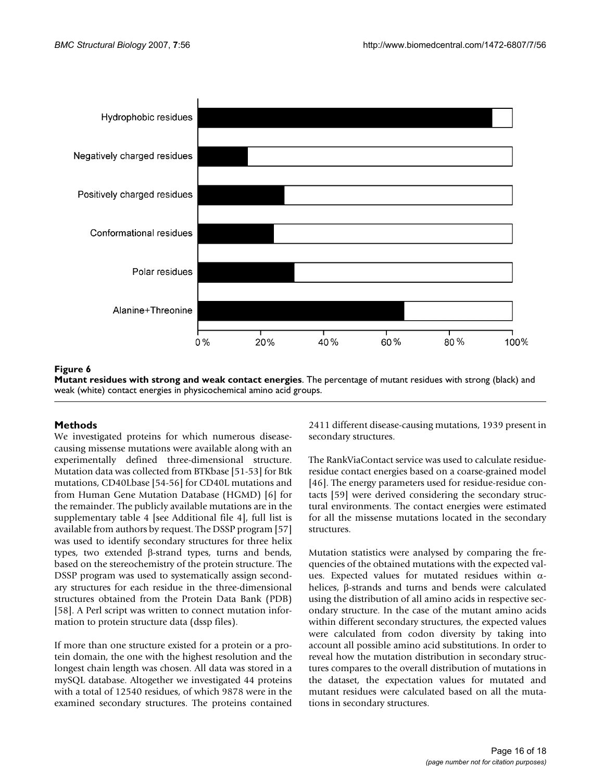

#### **Figure 6**

**Mutant residues with strong and weak contact energies**. The percentage of mutant residues with strong (black) and weak (white) contact energies in physicochemical amino acid groups.

#### **Methods**

We investigated proteins for which numerous diseasecausing missense mutations were available along with an experimentally defined three-dimensional structure. Mutation data was collected from BTKbase [51-53] for Btk mutations, CD40Lbase [54-56] for CD40L mutations and from Human Gene Mutation Database (HGMD) [6] for the remainder. The publicly available mutations are in the supplementary table 4 [see Additional file 4], full list is available from authors by request. The DSSP program [57] was used to identify secondary structures for three helix types, two extended β-strand types, turns and bends, based on the stereochemistry of the protein structure. The DSSP program was used to systematically assign secondary structures for each residue in the three-dimensional structures obtained from the Protein Data Bank (PDB) [58]. A Perl script was written to connect mutation information to protein structure data (dssp files).

If more than one structure existed for a protein or a protein domain, the one with the highest resolution and the longest chain length was chosen. All data was stored in a mySQL database. Altogether we investigated 44 proteins with a total of 12540 residues, of which 9878 were in the examined secondary structures. The proteins contained 2411 different disease-causing mutations, 1939 present in secondary structures.

The RankViaContact service was used to calculate residueresidue contact energies based on a coarse-grained model [46]. The energy parameters used for residue-residue contacts [59] were derived considering the secondary structural environments. The contact energies were estimated for all the missense mutations located in the secondary structures.

Mutation statistics were analysed by comparing the frequencies of the obtained mutations with the expected values. Expected values for mutated residues within  $α$ helices, β-strands and turns and bends were calculated using the distribution of all amino acids in respective secondary structure. In the case of the mutant amino acids within different secondary structures, the expected values were calculated from codon diversity by taking into account all possible amino acid substitutions. In order to reveal how the mutation distribution in secondary structures compares to the overall distribution of mutations in the dataset, the expectation values for mutated and mutant residues were calculated based on all the mutations in secondary structures.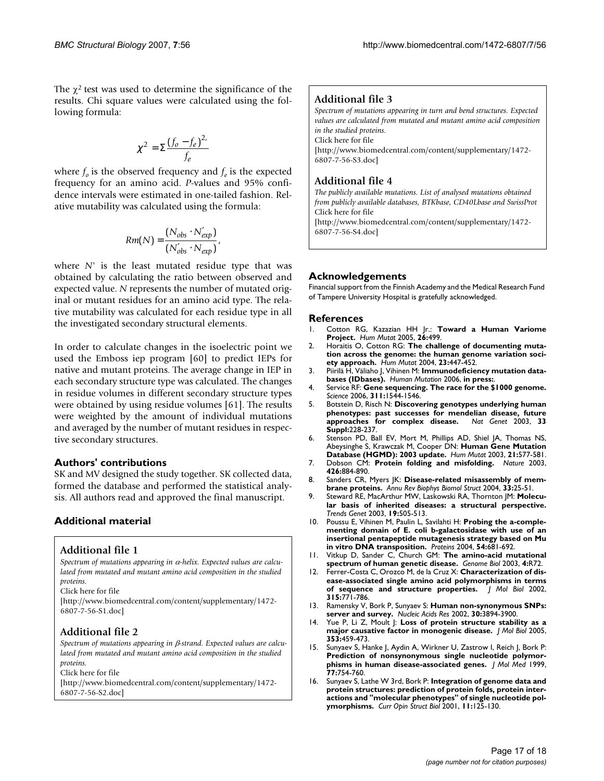The  $\chi^2$  test was used to determine the significance of the results. Chi square values were calculated using the following formula:

$$
\chi^2 = \Sigma \frac{(f_o - f_e)^{2}}{f_e}
$$

where  $f<sub>o</sub>$  is the observed frequency and  $f<sub>e</sub>$  is the expected frequency for an amino acid. *P*-values and 95% confidence intervals were estimated in one-tailed fashion. Relative mutability was calculated using the formula:

$$
Rm(N) = \frac{(N_{obs} \cdot N'_{exp})}{(N'_{obs} \cdot N_{exp})'}
$$

where *N'* is the least mutated residue type that was obtained by calculating the ratio between observed and expected value. *N* represents the number of mutated original or mutant residues for an amino acid type. The relative mutability was calculated for each residue type in all the investigated secondary structural elements.

In order to calculate changes in the isoelectric point we used the Emboss iep program [60] to predict IEPs for native and mutant proteins. The average change in IEP in each secondary structure type was calculated. The changes in residue volumes in different secondary structure types were obtained by using residue volumes [61]. The results were weighted by the amount of individual mutations and averaged by the number of mutant residues in respective secondary structures.

#### **Authors' contributions**

SK and MV designed the study together. SK collected data, formed the database and performed the statistical analysis. All authors read and approved the final manuscript.

#### **Additional material**

#### **Additional file 1**

*Spectrum of mutations appearing in* α*-helix. Expected values are calculated from mutated and mutant amino acid composition in the studied proteins.*

Click here for file

[\[http://www.biomedcentral.com/content/supplementary/1472-](http://www.biomedcentral.com/content/supplementary/1472-6807-7-56-S1.doc) 6807-7-56-S1.doc]

#### **Additional file 2**

*Spectrum of mutations appearing in* β*-strand. Expected values are calculated from mutated and mutant amino acid composition in the studied proteins.*

Click here for file

[\[http://www.biomedcentral.com/content/supplementary/1472-](http://www.biomedcentral.com/content/supplementary/1472-6807-7-56-S2.doc) 6807-7-56-S2.doc]

#### **Additional file 3**

*Spectrum of mutations appearing in turn and bend structures. Expected values are calculated from mutated and mutant amino acid composition in the studied proteins.* Click here for file

[\[http://www.biomedcentral.com/content/supplementary/1472-](http://www.biomedcentral.com/content/supplementary/1472-6807-7-56-S3.doc) 6807-7-56-S3.doc]

#### **Additional file 4**

*The publicly available mutations. List of analysed mutations obtained from publicly available databases, BTKbase, CD40Lbase and SwissProt* Click here for file

[\[http://www.biomedcentral.com/content/supplementary/1472-](http://www.biomedcentral.com/content/supplementary/1472-6807-7-56-S4.doc) 6807-7-56-S4.doc]

#### **Acknowledgements**

Financial support from the Finnish Academy and the Medical Research Fund of Tampere University Hospital is gratefully acknowledged.

#### **References**

- 1. Cotton RG, Kazazian HH Jr.: **Toward a Human Variome Project.** *Hum Mutat* 2005, **26:**499.
- 2. Horaitis O, Cotton RG: **[The challenge of documenting muta](http://www.ncbi.nlm.nih.gov/entrez/query.fcgi?cmd=Retrieve&db=PubMed&dopt=Abstract&list_uids=15108276)[tion across the genome: the human genome variation soci](http://www.ncbi.nlm.nih.gov/entrez/query.fcgi?cmd=Retrieve&db=PubMed&dopt=Abstract&list_uids=15108276)[ety approach.](http://www.ncbi.nlm.nih.gov/entrez/query.fcgi?cmd=Retrieve&db=PubMed&dopt=Abstract&list_uids=15108276)** *Hum Mutat* 2004, **23:**447-452.
- 3. Piirilä H, Väliaho J, Vihinen M: **Immunodeficiency mutation databases (IDbases).** *Human Mutation* 2006, **in press:**.
- 4. Service RF: **[Gene sequencing. The race for the \\$1000 genome.](http://www.ncbi.nlm.nih.gov/entrez/query.fcgi?cmd=Retrieve&db=PubMed&dopt=Abstract&list_uids=16543431)** *Science* 2006, **311:**1544-1546.
- 5. Botstein D, Risch N: **[Discovering genotypes underlying human](http://www.ncbi.nlm.nih.gov/entrez/query.fcgi?cmd=Retrieve&db=PubMed&dopt=Abstract&list_uids=12610532) [phenotypes: past successes for mendelian disease, future](http://www.ncbi.nlm.nih.gov/entrez/query.fcgi?cmd=Retrieve&db=PubMed&dopt=Abstract&list_uids=12610532)** [approaches for complex disease.](http://www.ncbi.nlm.nih.gov/entrez/query.fcgi?cmd=Retrieve&db=PubMed&dopt=Abstract&list_uids=12610532) **Suppl:**228-237.
- 6. Stenson PD, Ball EV, Mort M, Phillips AD, Shiel JA, Thomas NS, Abeysinghe S, Krawczak M, Cooper DN: **[Human Gene Mutation](http://www.ncbi.nlm.nih.gov/entrez/query.fcgi?cmd=Retrieve&db=PubMed&dopt=Abstract&list_uids=12754702) [Database \(HGMD\): 2003 update.](http://www.ncbi.nlm.nih.gov/entrez/query.fcgi?cmd=Retrieve&db=PubMed&dopt=Abstract&list_uids=12754702)** *Hum Mutat* 2003, **21:**577-581.
- 7. Dobson CM: **[Protein folding and misfolding.](http://www.ncbi.nlm.nih.gov/entrez/query.fcgi?cmd=Retrieve&db=PubMed&dopt=Abstract&list_uids=14685248)** *Nature* 2003, **426:**884-890.
- 8. Sanders CR, Myers *K*: [Disease-related misassembly of mem](http://www.ncbi.nlm.nih.gov/entrez/query.fcgi?cmd=Retrieve&db=PubMed&dopt=Abstract&list_uids=15139803)**[brane proteins.](http://www.ncbi.nlm.nih.gov/entrez/query.fcgi?cmd=Retrieve&db=PubMed&dopt=Abstract&list_uids=15139803)** *Annu Rev Biophys Biomol Struct* 2004, **33:**25-51.
- 9. Steward RE, MacArthur MW, Laskowski RA, Thornton JM: **[Molecu](http://www.ncbi.nlm.nih.gov/entrez/query.fcgi?cmd=Retrieve&db=PubMed&dopt=Abstract&list_uids=12957544)[lar basis of inherited diseases: a structural perspective.](http://www.ncbi.nlm.nih.gov/entrez/query.fcgi?cmd=Retrieve&db=PubMed&dopt=Abstract&list_uids=12957544)** *Trends Genet* 2003, **19:**505-513.
- 10. Poussu E, Vihinen M, Paulin L, Savilahti H: **[Probing the a-comple](http://www.ncbi.nlm.nih.gov/entrez/query.fcgi?cmd=Retrieve&db=PubMed&dopt=Abstract&list_uids=14997564)menting domain of E. coli b-galactosidase with use of an [insertional pentapeptide mutagenesis strategy based on Mu](http://www.ncbi.nlm.nih.gov/entrez/query.fcgi?cmd=Retrieve&db=PubMed&dopt=Abstract&list_uids=14997564) [in vitro DNA transposition.](http://www.ncbi.nlm.nih.gov/entrez/query.fcgi?cmd=Retrieve&db=PubMed&dopt=Abstract&list_uids=14997564)** *Proteins* 2004, **54:**681-692.
- 11. Vitkup D, Sander C, Church GM: **[The amino-acid mutational](http://www.ncbi.nlm.nih.gov/entrez/query.fcgi?cmd=Retrieve&db=PubMed&dopt=Abstract&list_uids=14611658) [spectrum of human genetic disease.](http://www.ncbi.nlm.nih.gov/entrez/query.fcgi?cmd=Retrieve&db=PubMed&dopt=Abstract&list_uids=14611658)** *Genome Biol* 2003, **4:**R72.
- 12. Ferrer-Costa C, Orozco M, de la Cruz X: **[Characterization of dis](http://www.ncbi.nlm.nih.gov/entrez/query.fcgi?cmd=Retrieve&db=PubMed&dopt=Abstract&list_uids=11812146)[ease-associated single amino acid polymorphisms in terms](http://www.ncbi.nlm.nih.gov/entrez/query.fcgi?cmd=Retrieve&db=PubMed&dopt=Abstract&list_uids=11812146) [of sequence and structure properties.](http://www.ncbi.nlm.nih.gov/entrez/query.fcgi?cmd=Retrieve&db=PubMed&dopt=Abstract&list_uids=11812146)** *J Mol Biol* 2002, **315:**771-786.
- 13. Ramensky V, Bork P, Sunyaev S: **[Human non-synonymous SNPs:](http://www.ncbi.nlm.nih.gov/entrez/query.fcgi?cmd=Retrieve&db=PubMed&dopt=Abstract&list_uids=12202775) [server and survey.](http://www.ncbi.nlm.nih.gov/entrez/query.fcgi?cmd=Retrieve&db=PubMed&dopt=Abstract&list_uids=12202775)** *Nucleic Acids Res* 2002, **30:**3894-3900.
- 14. Yue P, Li Z, Moult J: **[Loss of protein structure stability as a](http://www.ncbi.nlm.nih.gov/entrez/query.fcgi?cmd=Retrieve&db=PubMed&dopt=Abstract&list_uids=16169011) [major causative factor in monogenic disease.](http://www.ncbi.nlm.nih.gov/entrez/query.fcgi?cmd=Retrieve&db=PubMed&dopt=Abstract&list_uids=16169011)** *J Mol Biol* 2005, **353:**459-473.
- 15. Sunyaev S, Hanke J, Aydin A, Wirkner U, Zastrow I, Reich J, Bork P: **[Prediction of nonsynonymous single nucleotide polymor](http://www.ncbi.nlm.nih.gov/entrez/query.fcgi?cmd=Retrieve&db=PubMed&dopt=Abstract&list_uids=10619435)[phisms in human disease-associated genes.](http://www.ncbi.nlm.nih.gov/entrez/query.fcgi?cmd=Retrieve&db=PubMed&dopt=Abstract&list_uids=10619435)** *J Mol Med* 1999, **77:**754-760.
- 16. Sunyaev S, Lathe W 3rd, Bork P: **[Integration of genome data and](http://www.ncbi.nlm.nih.gov/entrez/query.fcgi?cmd=Retrieve&db=PubMed&dopt=Abstract&list_uids=11179902) protein structures: prediction of protein folds, protein inter[actions and "molecular phenotypes" of single nucleotide pol](http://www.ncbi.nlm.nih.gov/entrez/query.fcgi?cmd=Retrieve&db=PubMed&dopt=Abstract&list_uids=11179902)[ymorphisms.](http://www.ncbi.nlm.nih.gov/entrez/query.fcgi?cmd=Retrieve&db=PubMed&dopt=Abstract&list_uids=11179902)** *Curr Opin Struct Biol* 2001, **11:**125-130.